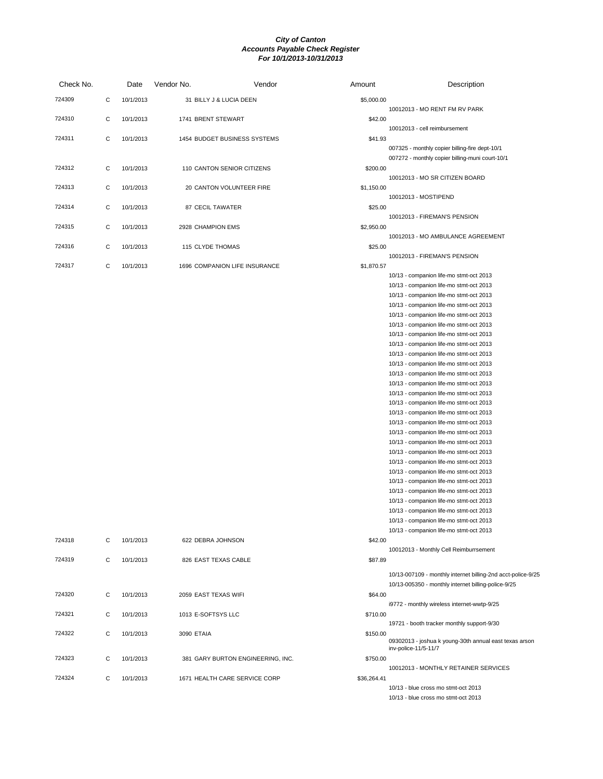| Check No. |   | Date      | Vendor No.           | Vendor                            | Amount      | Description                                                                                       |
|-----------|---|-----------|----------------------|-----------------------------------|-------------|---------------------------------------------------------------------------------------------------|
| 724309    | С | 10/1/2013 |                      | 31 BILLY J & LUCIA DEEN           | \$5,000.00  | 10012013 - MO RENT FM RV PARK                                                                     |
| 724310    | С | 10/1/2013 | 1741 BRENT STEWART   |                                   | \$42.00     | 10012013 - cell reimbursement                                                                     |
| 724311    | С | 10/1/2013 |                      | 1454 BUDGET BUSINESS SYSTEMS      | \$41.93     |                                                                                                   |
|           |   |           |                      |                                   |             | 007325 - monthly copier billing-fire dept-10/1<br>007272 - monthly copier billing-muni court-10/1 |
| 724312    | С | 10/1/2013 |                      | 110 CANTON SENIOR CITIZENS        | \$200.00    |                                                                                                   |
|           |   |           |                      |                                   |             | 10012013 - MO SR CITIZEN BOARD                                                                    |
| 724313    | С | 10/1/2013 |                      | 20 CANTON VOLUNTEER FIRE          | \$1,150.00  |                                                                                                   |
|           |   |           |                      |                                   |             | 10012013 - MOSTIPEND                                                                              |
| 724314    | С | 10/1/2013 | 87 CECIL TAWATER     |                                   | \$25.00     |                                                                                                   |
| 724315    | С | 10/1/2013 | 2928 CHAMPION EMS    |                                   | \$2,950.00  | 10012013 - FIREMAN'S PENSION                                                                      |
|           |   |           |                      |                                   |             | 10012013 - MO AMBULANCE AGREEMENT                                                                 |
| 724316    | С | 10/1/2013 | 115 CLYDE THOMAS     |                                   | \$25.00     |                                                                                                   |
|           |   |           |                      |                                   |             | 10012013 - FIREMAN'S PENSION                                                                      |
| 724317    | С | 10/1/2013 |                      | 1696 COMPANION LIFE INSURANCE     | \$1,870.57  |                                                                                                   |
|           |   |           |                      |                                   |             | 10/13 - companion life-mo stmt-oct 2013                                                           |
|           |   |           |                      |                                   |             | 10/13 - companion life-mo stmt-oct 2013                                                           |
|           |   |           |                      |                                   |             | 10/13 - companion life-mo stmt-oct 2013                                                           |
|           |   |           |                      |                                   |             | 10/13 - companion life-mo stmt-oct 2013                                                           |
|           |   |           |                      |                                   |             | 10/13 - companion life-mo stmt-oct 2013<br>10/13 - companion life-mo stmt-oct 2013                |
|           |   |           |                      |                                   |             | 10/13 - companion life-mo stmt-oct 2013                                                           |
|           |   |           |                      |                                   |             | 10/13 - companion life-mo stmt-oct 2013                                                           |
|           |   |           |                      |                                   |             | 10/13 - companion life-mo stmt-oct 2013                                                           |
|           |   |           |                      |                                   |             | 10/13 - companion life-mo stmt-oct 2013                                                           |
|           |   |           |                      |                                   |             | 10/13 - companion life-mo stmt-oct 2013                                                           |
|           |   |           |                      |                                   |             | 10/13 - companion life-mo stmt-oct 2013                                                           |
|           |   |           |                      |                                   |             | 10/13 - companion life-mo stmt-oct 2013                                                           |
|           |   |           |                      |                                   |             | 10/13 - companion life-mo stmt-oct 2013                                                           |
|           |   |           |                      |                                   |             | 10/13 - companion life-mo stmt-oct 2013                                                           |
|           |   |           |                      |                                   |             | 10/13 - companion life-mo stmt-oct 2013                                                           |
|           |   |           |                      |                                   |             | 10/13 - companion life-mo stmt-oct 2013                                                           |
|           |   |           |                      |                                   |             | 10/13 - companion life-mo stmt-oct 2013                                                           |
|           |   |           |                      |                                   |             | 10/13 - companion life-mo stmt-oct 2013                                                           |
|           |   |           |                      |                                   |             | 10/13 - companion life-mo stmt-oct 2013                                                           |
|           |   |           |                      |                                   |             | 10/13 - companion life-mo stmt-oct 2013                                                           |
|           |   |           |                      |                                   |             | 10/13 - companion life-mo stmt-oct 2013                                                           |
|           |   |           |                      |                                   |             | 10/13 - companion life-mo stmt-oct 2013<br>10/13 - companion life-mo stmt-oct 2013                |
|           |   |           |                      |                                   |             | 10/13 - companion life-mo stmt-oct 2013                                                           |
|           |   |           |                      |                                   |             | 10/13 - companion life-mo stmt-oct 2013                                                           |
|           |   |           |                      |                                   |             | 10/13 - companion life-mo stmt-oct 2013                                                           |
| 724318    | С | 10/1/2013 | 622 DEBRA JOHNSON    |                                   | \$42.00     |                                                                                                   |
|           |   |           |                      |                                   |             | 10012013 - Monthly Cell Reimburrsement                                                            |
| 724319    | С | 10/1/2013 | 826 EAST TEXAS CABLE |                                   | \$87.89     |                                                                                                   |
|           |   |           |                      |                                   |             | 10/13-007109 - monthly internet billing-2nd acct-police-9/25                                      |
|           |   |           |                      |                                   |             | 10/13-005350 - monthly internet billing-police-9/25                                               |
| 724320    | С | 10/1/2013 | 2059 EAST TEXAS WIFI |                                   | \$64.00     |                                                                                                   |
|           |   |           |                      |                                   |             | i9772 - monthly wireless internet-wwtp-9/25                                                       |
| 724321    | С | 10/1/2013 | 1013 E-SOFTSYS LLC   |                                   | \$710.00    |                                                                                                   |
| 724322    |   |           |                      |                                   | \$150.00    | 19721 - booth tracker monthly support-9/30                                                        |
|           | С | 10/1/2013 | 3090 ETAIA           |                                   |             | 09302013 - joshua k young-30th annual east texas arson<br>inv-police-11/5-11/7                    |
| 724323    | С | 10/1/2013 |                      | 381 GARY BURTON ENGINEERING, INC. | \$750.00    | 10012013 - MONTHLY RETAINER SERVICES                                                              |
| 724324    | С | 10/1/2013 |                      | 1671 HEALTH CARE SERVICE CORP     | \$36,264.41 |                                                                                                   |
|           |   |           |                      |                                   |             | 10/13 - blue cross mo stmt-oct 2013                                                               |
|           |   |           |                      |                                   |             | 10/13 - blue cross mo stmt-oct 2013                                                               |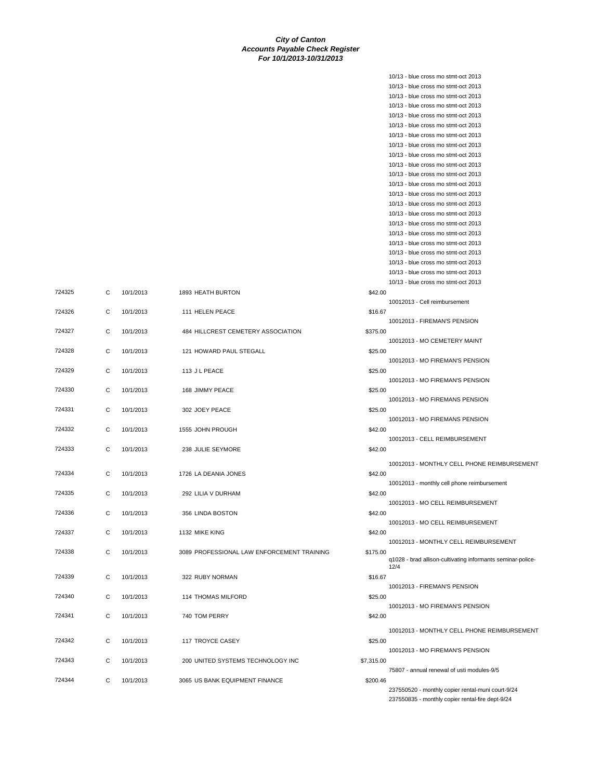|            | 10/13 - blue cross mo stmt-oct 2013                                        |
|------------|----------------------------------------------------------------------------|
|            | 10/13 - blue cross mo stmt-oct 2013                                        |
|            | 10/13 - blue cross mo stmt-oct 2013                                        |
|            | 10/13 - blue cross mo stmt-oct 2013                                        |
|            | 10/13 - blue cross mo stmt-oct 2013                                        |
|            | 10/13 - blue cross mo stmt-oct 2013                                        |
|            | 10/13 - blue cross mo stmt-oct 2013<br>10/13 - blue cross mo stmt-oct 2013 |
|            | 10/13 - blue cross mo stmt-oct 2013                                        |
|            | 10/13 - blue cross mo stmt-oct 2013                                        |
|            | 10/13 - blue cross mo stmt-oct 2013                                        |
|            | 10/13 - blue cross mo stmt-oct 2013                                        |
|            | 10/13 - blue cross mo stmt-oct 2013                                        |
|            | 10/13 - blue cross mo stmt-oct 2013                                        |
|            | 10/13 - blue cross mo stmt-oct 2013                                        |
|            | 10/13 - blue cross mo stmt-oct 2013                                        |
|            | 10/13 - blue cross mo stmt-oct 2013                                        |
|            | 10/13 - blue cross mo stmt-oct 2013                                        |
|            | 10/13 - blue cross mo stmt-oct 2013                                        |
|            | 10/13 - blue cross mo stmt-oct 2013                                        |
|            | 10/13 - blue cross mo stmt-oct 2013                                        |
|            | 10/13 - blue cross mo stmt-oct 2013                                        |
| \$42.00    | 10012013 - Cell reimbursement                                              |
| \$16.67    |                                                                            |
|            | 10012013 - FIREMAN'S PENSION                                               |
| \$375.00   |                                                                            |
|            | 10012013 - MO CEMETERY MAINT                                               |
| \$25.00    |                                                                            |
|            | 10012013 - MO FIREMAN'S PENSION                                            |
| \$25.00    |                                                                            |
|            | 10012013 - MO FIREMAN'S PENSION                                            |
| \$25.00    |                                                                            |
|            | 10012013 - MO FIREMANS PENSION                                             |
| \$25.00    |                                                                            |
|            | 10012013 - MO FIREMANS PENSION                                             |
| \$42.00    | 10012013 - CELL REIMBURSEMENT                                              |
| \$42.00    |                                                                            |
|            |                                                                            |
|            | 10012013 - MONTHLY CELL PHONE REIMBURSEMENT                                |
| \$42.00    |                                                                            |
|            | 10012013 - monthly cell phone reimbursement                                |
| \$42.00    |                                                                            |
|            | 10012013 - MO CELL REIMBURSEMENT                                           |
| \$42.00    | 10012013 - MO CELL REIMBURSEMENT                                           |
| \$42.00    |                                                                            |
|            | 10012013 - MONTHLY CELL REIMBURSEMENT                                      |
| \$175.00   |                                                                            |
|            | q1028 - brad allison-cultivating informants seminar-police-                |
|            | 12/4                                                                       |
| \$16.67    |                                                                            |
|            | 10012013 - FIREMAN'S PENSION                                               |
| \$25.00    | 10012013 - MO FIREMAN'S PENSION                                            |
| \$42.00    |                                                                            |
|            |                                                                            |
|            | 10012013 - MONTHLY CELL PHONE REIMBURSEMENT                                |
| \$25.00    |                                                                            |
|            | 10012013 - MO FIREMAN'S PENSION                                            |
| \$7,315.00 |                                                                            |
|            | 75807 - annual renewal of usti modules-9/5                                 |
| \$200.46   | 237550520 - monthly copier rental-muni court-9/24                          |
|            | 237550835 - monthly copier rental-fire dept-9/24                           |
|            |                                                                            |

| 724325 | C            | 10/1/2013 | 1893 HEATH BURTON                          | \$42.00    |
|--------|--------------|-----------|--------------------------------------------|------------|
| 724326 | С            | 10/1/2013 | 111 HELEN PEACE                            | \$16.67    |
| 724327 | C            | 10/1/2013 | 484 HILLCREST CEMETERY ASSOCIATION         | \$375.00   |
| 724328 | C            | 10/1/2013 | 121 HOWARD PAUL STEGALL                    | \$25.00    |
| 724329 | C            | 10/1/2013 | 113 J L PEACE                              | \$25.00    |
| 724330 | C            | 10/1/2013 | 168 JIMMY PEACE                            | \$25.00    |
| 724331 | C            | 10/1/2013 | 302 JOEY PEACE                             | \$25.00    |
| 724332 | $\mathsf{C}$ | 10/1/2013 | 1555 JOHN PROUGH                           | \$42.00    |
| 724333 | C            | 10/1/2013 | 238 JULIE SEYMORE                          | \$42.00    |
| 724334 | C            | 10/1/2013 | 1726 LA DEANIA JONES                       | \$42.00    |
| 724335 | C            | 10/1/2013 | 292 LILIA V DURHAM                         | \$42.00    |
| 724336 | C            | 10/1/2013 | 356 LINDA BOSTON                           | \$42.00    |
| 724337 | С            | 10/1/2013 | 1132 MIKE KING                             | \$42.00    |
| 724338 | C            | 10/1/2013 | 3089 PROFESSIONAL LAW ENFORCEMENT TRAINING | \$175.00   |
| 724339 | C            | 10/1/2013 | 322 RUBY NORMAN                            | \$16.67    |
| 724340 | С            | 10/1/2013 | 114 THOMAS MILFORD                         | \$25.00    |
| 724341 | С            | 10/1/2013 | 740 TOM PERRY                              | \$42.00    |
| 724342 | С            | 10/1/2013 | 117 TROYCE CASEY                           | \$25.00    |
| 724343 | C            | 10/1/2013 | 200 UNITED SYSTEMS TECHNOLOGY INC          | \$7,315.00 |
| 724344 | C            | 10/1/2013 | 3065 US BANK EQUIPMENT FINANCE             | \$200.46   |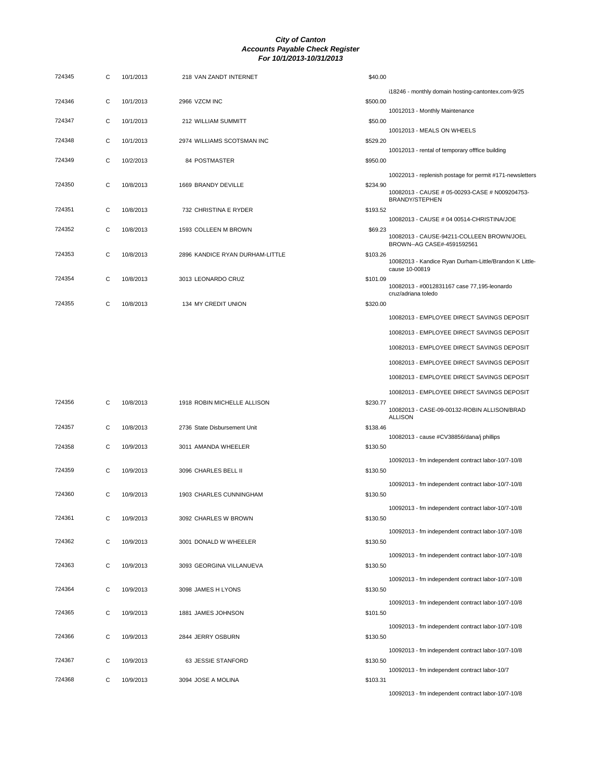| 724345 | С | 10/1/2013 | 218 VAN ZANDT INTERNET          | \$40.00  |                                                                         |
|--------|---|-----------|---------------------------------|----------|-------------------------------------------------------------------------|
|        |   |           |                                 |          | i18246 - monthly domain hosting-cantontex.com-9/25                      |
| 724346 | С | 10/1/2013 | 2966 VZCM INC                   | \$500.00 |                                                                         |
| 724347 | С | 10/1/2013 | 212 WILLIAM SUMMITT             | \$50.00  | 10012013 - Monthly Maintenance                                          |
|        |   |           |                                 |          | 10012013 - MEALS ON WHEELS                                              |
| 724348 | С | 10/1/2013 | 2974 WILLIAMS SCOTSMAN INC      | \$529.20 |                                                                         |
| 724349 | C | 10/2/2013 | 84 POSTMASTER                   | \$950.00 | 10012013 - rental of temporary offfice building                         |
|        |   |           |                                 |          | 10022013 - replenish postage for permit #171-newsletters                |
| 724350 | С | 10/8/2013 | 1669 BRANDY DEVILLE             | \$234.90 |                                                                         |
|        |   |           |                                 |          | 10082013 - CAUSE # 05-00293-CASE # N009204753-<br><b>BRANDY/STEPHEN</b> |
| 724351 | С | 10/8/2013 | 732 CHRISTINA E RYDER           | \$193.52 |                                                                         |
|        |   |           |                                 |          | 10082013 - CAUSE # 04 00514-CHRISTINA/JOE                               |
| 724352 | C | 10/8/2013 | 1593 COLLEEN M BROWN            | \$69.23  | 10082013 - CAUSE-94211-COLLEEN BROWN/JOEL                               |
|        |   |           |                                 |          | BROWN--AG CASE#-4591592561                                              |
| 724353 | С | 10/8/2013 | 2896 KANDICE RYAN DURHAM-LITTLE | \$103.26 | 10082013 - Kandice Ryan Durham-Little/Brandon K Little-                 |
| 724354 | С | 10/8/2013 |                                 | \$101.09 | cause 10-00819                                                          |
|        |   |           | 3013 LEONARDO CRUZ              |          | 10082013 - #0012831167 case 77,195-leonardo                             |
| 724355 | С | 10/8/2013 | 134 MY CREDIT UNION             | \$320.00 | cruz/adriana toledo                                                     |
|        |   |           |                                 |          | 10082013 - EMPLOYEE DIRECT SAVINGS DEPOSIT                              |
|        |   |           |                                 |          |                                                                         |
|        |   |           |                                 |          | 10082013 - EMPLOYEE DIRECT SAVINGS DEPOSIT                              |
|        |   |           |                                 |          | 10082013 - EMPLOYEE DIRECT SAVINGS DEPOSIT                              |
|        |   |           |                                 |          | 10082013 - EMPLOYEE DIRECT SAVINGS DEPOSIT                              |
|        |   |           |                                 |          | 10082013 - EMPLOYEE DIRECT SAVINGS DEPOSIT                              |
|        |   |           |                                 |          | 10082013 - EMPLOYEE DIRECT SAVINGS DEPOSIT                              |
| 724356 | C | 10/8/2013 | 1918 ROBIN MICHELLE ALLISON     | \$230.77 | 10082013 - CASE-09-00132-ROBIN ALLISON/BRAD                             |
|        |   |           |                                 |          | <b>ALLISON</b>                                                          |
| 724357 | C | 10/8/2013 | 2736 State Disbursement Unit    | \$138.46 |                                                                         |
| 724358 | С | 10/9/2013 | 3011 AMANDA WHEELER             | \$130.50 | 10082013 - cause #CV38856/dana/j phillips                               |
|        |   |           |                                 |          | 10092013 - fm independent contract labor-10/7-10/8                      |
| 724359 | С | 10/9/2013 | 3096 CHARLES BELL II            | \$130.50 |                                                                         |
|        |   |           |                                 |          | 10092013 - fm independent contract labor-10/7-10/8                      |
| 724360 | C | 10/9/2013 | 1903 CHARLES CUNNINGHAM         | \$130.50 |                                                                         |
|        |   |           |                                 |          | 10092013 - fm independent contract labor-10/7-10/8                      |
| 724361 | C | 10/9/2013 | 3092 CHARLES W BROWN            | \$130.50 |                                                                         |
|        |   |           |                                 |          | 10092013 - fm independent contract labor-10/7-10/8                      |
| 724362 | C | 10/9/2013 | 3001 DONALD W WHEELER           | \$130.50 |                                                                         |
| 724363 | С | 10/9/2013 | 3093 GEORGINA VILLANUEVA        | \$130.50 | 10092013 - fm independent contract labor-10/7-10/8                      |
|        |   |           |                                 |          |                                                                         |
| 724364 | С | 10/9/2013 | 3098 JAMES H LYONS              | \$130.50 | 10092013 - fm independent contract labor-10/7-10/8                      |
|        |   |           |                                 |          | 10092013 - fm independent contract labor-10/7-10/8                      |
| 724365 | С | 10/9/2013 | 1881 JAMES JOHNSON              | \$101.50 |                                                                         |
|        |   |           |                                 |          | 10092013 - fm independent contract labor-10/7-10/8                      |
| 724366 | С | 10/9/2013 | 2844 JERRY OSBURN               | \$130.50 |                                                                         |
|        |   |           |                                 |          | 10092013 - fm independent contract labor-10/7-10/8                      |
| 724367 | С | 10/9/2013 | 63 JESSIE STANFORD              | \$130.50 |                                                                         |
| 724368 | С | 10/9/2013 | 3094 JOSE A MOLINA              | \$103.31 | 10092013 - fm independent contract labor-10/7                           |
|        |   |           |                                 |          | 10092013 - fm independent contract labor-10/7-10/8                      |
|        |   |           |                                 |          |                                                                         |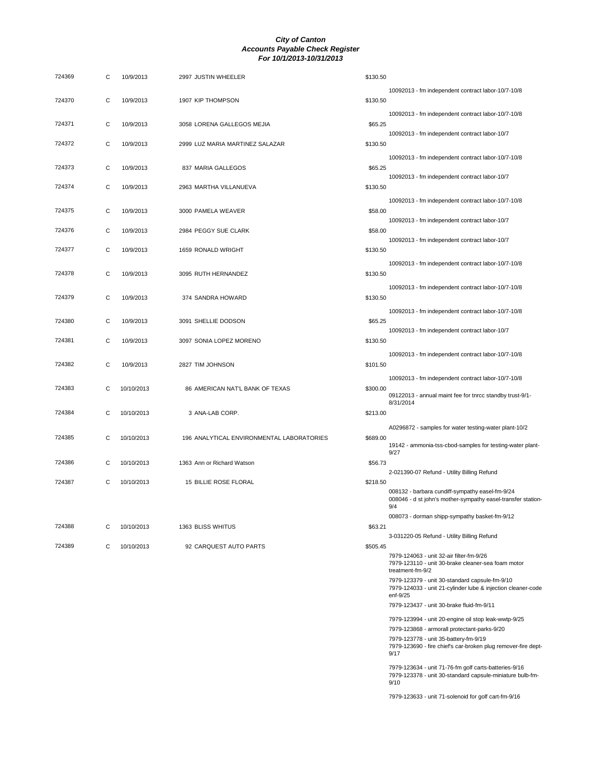| 724369 | С | 10/9/2013  | 2997 JUSTIN WHEELER                       | \$130.50 |                                                                                                                            |
|--------|---|------------|-------------------------------------------|----------|----------------------------------------------------------------------------------------------------------------------------|
| 724370 | С | 10/9/2013  | 1907 KIP THOMPSON                         | \$130.50 | 10092013 - fm independent contract labor-10/7-10/8                                                                         |
| 724371 | С | 10/9/2013  | 3058 LORENA GALLEGOS MEJIA                | \$65.25  | 10092013 - fm independent contract labor-10/7-10/8                                                                         |
| 724372 | C | 10/9/2013  | 2999 LUZ MARIA MARTINEZ SALAZAR           | \$130.50 | 10092013 - fm independent contract labor-10/7                                                                              |
| 724373 | C | 10/9/2013  | 837 MARIA GALLEGOS                        | \$65.25  | 10092013 - fm independent contract labor-10/7-10/8                                                                         |
| 724374 | C | 10/9/2013  | 2963 MARTHA VILLANUEVA                    | \$130.50 | 10092013 - fm independent contract labor-10/7                                                                              |
| 724375 | C | 10/9/2013  | 3000 PAMELA WEAVER                        | \$58.00  | 10092013 - fm independent contract labor-10/7-10/8                                                                         |
| 724376 | С | 10/9/2013  | 2984 PEGGY SUE CLARK                      | \$58.00  | 10092013 - fm independent contract labor-10/7<br>10092013 - fm independent contract labor-10/7                             |
| 724377 | C | 10/9/2013  | 1659 RONALD WRIGHT                        | \$130.50 |                                                                                                                            |
| 724378 | C | 10/9/2013  | 3095 RUTH HERNANDEZ                       | \$130.50 | 10092013 - fm independent contract labor-10/7-10/8                                                                         |
| 724379 | C | 10/9/2013  | 374 SANDRA HOWARD                         | \$130.50 | 10092013 - fm independent contract labor-10/7-10/8                                                                         |
| 724380 | C | 10/9/2013  | 3091 SHELLIE DODSON                       | \$65.25  | 10092013 - fm independent contract labor-10/7-10/8                                                                         |
| 724381 | C | 10/9/2013  | 3097 SONIA LOPEZ MORENO                   | \$130.50 | 10092013 - fm independent contract labor-10/7                                                                              |
| 724382 | С | 10/9/2013  | 2827 TIM JOHNSON                          | \$101.50 | 10092013 - fm independent contract labor-10/7-10/8                                                                         |
| 724383 | С | 10/10/2013 | 86 AMERICAN NAT'L BANK OF TEXAS           | \$300.00 | 10092013 - fm independent contract labor-10/7-10/8<br>09122013 - annual maint fee for tnrcc standby trust-9/1-             |
| 724384 | С | 10/10/2013 | 3 ANA-LAB CORP.                           | \$213.00 | 8/31/2014                                                                                                                  |
| 724385 | С | 10/10/2013 | 196 ANALYTICAL ENVIRONMENTAL LABORATORIES | \$689.00 | A0296872 - samples for water testing-water plant-10/2                                                                      |
| 724386 | С | 10/10/2013 | 1363 Ann or Richard Watson                | \$56.73  | 19142 - ammonia-tss-cbod-samples for testing-water plant-<br>9/27                                                          |
| 724387 | С | 10/10/2013 | 15 BILLIE ROSE FLORAL                     | \$218.50 | 2-021390-07 Refund - Utility Billing Refund                                                                                |
|        |   |            |                                           |          | 008132 - barbara cundiff-sympathy easel-fm-9/24<br>008046 - d st john's mother-sympathy easel-transfer station-<br>9/4     |
| 724388 | С | 10/10/2013 | 1363 BLISS WHITUS                         | \$63.21  | 008073 - dorman shipp-sympathy basket-fm-9/12                                                                              |
| 724389 | C | 10/10/2013 | 92 CARQUEST AUTO PARTS                    | \$505.45 | 3-031220-05 Refund - Utility Billing Refund                                                                                |
|        |   |            |                                           |          | 7979-124063 - unit 32-air filter-fm-9/26<br>7979-123110 - unit 30-brake cleaner-sea foam motor<br>treatment-fm-9/2         |
|        |   |            |                                           |          | 7979-123379 - unit 30-standard capsule-fm-9/10<br>7979-124033 - unit 21-cylinder lube & injection cleaner-code<br>enf-9/25 |
|        |   |            |                                           |          | 7979-123437 - unit 30-brake fluid-fm-9/11                                                                                  |
|        |   |            |                                           |          | 7979-123994 - unit 20-engine oil stop leak-wwtp-9/25                                                                       |
|        |   |            |                                           |          | 7979-123868 - armorall protectant-parks-9/20                                                                               |
|        |   |            |                                           |          | 7979-123778 - unit 35-battery-fm-9/19<br>7979-123690 - fire chief's car-broken plug remover-fire dept-<br>9/17             |
|        |   |            |                                           |          | 7979-123634 - unit 71-76-fm golf carts-batteries-9/16<br>7979-123378 - unit 30-standard capsule-miniature bulb-fm-<br>9/10 |

7979-123633 - unit 71-solenoid for golf cart-fm-9/16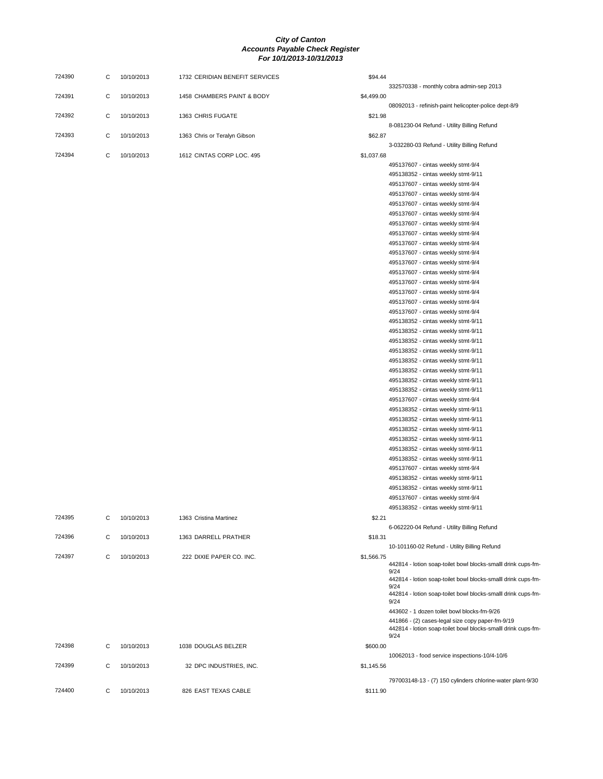| 724390 | С | 10/10/2013 | 1732 CERIDIAN BENEFIT SERVICES | \$94.44    |                                                                       |
|--------|---|------------|--------------------------------|------------|-----------------------------------------------------------------------|
| 724391 | C | 10/10/2013 | 1458 CHAMBERS PAINT & BODY     | \$4,499.00 | 332570338 - monthly cobra admin-sep 2013                              |
| 724392 | C | 10/10/2013 | 1363 CHRIS FUGATE              | \$21.98    | 08092013 - refinish-paint helicopter-police dept-8/9                  |
| 724393 | C | 10/10/2013 | 1363 Chris or Teralyn Gibson   | \$62.87    | 8-081230-04 Refund - Utility Billing Refund                           |
|        |   |            |                                |            | 3-032280-03 Refund - Utility Billing Refund                           |
| 724394 | C | 10/10/2013 | 1612 CINTAS CORP LOC. 495      | \$1,037.68 |                                                                       |
|        |   |            |                                |            | 495137607 - cintas weekly stmt-9/4                                    |
|        |   |            |                                |            | 495138352 - cintas weekly stmt-9/11                                   |
|        |   |            |                                |            | 495137607 - cintas weekly stmt-9/4                                    |
|        |   |            |                                |            | 495137607 - cintas weekly stmt-9/4                                    |
|        |   |            |                                |            | 495137607 - cintas weekly stmt-9/4                                    |
|        |   |            |                                |            | 495137607 - cintas weekly stmt-9/4                                    |
|        |   |            |                                |            | 495137607 - cintas weekly stmt-9/4                                    |
|        |   |            |                                |            | 495137607 - cintas weekly stmt-9/4                                    |
|        |   |            |                                |            | 495137607 - cintas weekly stmt-9/4                                    |
|        |   |            |                                |            | 495137607 - cintas weekly stmt-9/4                                    |
|        |   |            |                                |            | 495137607 - cintas weekly stmt-9/4                                    |
|        |   |            |                                |            | 495137607 - cintas weekly stmt-9/4                                    |
|        |   |            |                                |            | 495137607 - cintas weekly stmt-9/4                                    |
|        |   |            |                                |            | 495137607 - cintas weekly stmt-9/4                                    |
|        |   |            |                                |            | 495137607 - cintas weekly stmt-9/4                                    |
|        |   |            |                                |            | 495137607 - cintas weekly stmt-9/4                                    |
|        |   |            |                                |            | 495138352 - cintas weekly stmt-9/11                                   |
|        |   |            |                                |            | 495138352 - cintas weekly stmt-9/11                                   |
|        |   |            |                                |            | 495138352 - cintas weekly stmt-9/11                                   |
|        |   |            |                                |            | 495138352 - cintas weekly stmt-9/11                                   |
|        |   |            |                                |            | 495138352 - cintas weekly stmt-9/11                                   |
|        |   |            |                                |            | 495138352 - cintas weekly stmt-9/11                                   |
|        |   |            |                                |            | 495138352 - cintas weekly stmt-9/11                                   |
|        |   |            |                                |            | 495138352 - cintas weekly stmt-9/11                                   |
|        |   |            |                                |            | 495137607 - cintas weekly stmt-9/4                                    |
|        |   |            |                                |            | 495138352 - cintas weekly stmt-9/11                                   |
|        |   |            |                                |            | 495138352 - cintas weekly stmt-9/11                                   |
|        |   |            |                                |            | 495138352 - cintas weekly stmt-9/11                                   |
|        |   |            |                                |            | 495138352 - cintas weekly stmt-9/11                                   |
|        |   |            |                                |            | 495138352 - cintas weekly stmt-9/11                                   |
|        |   |            |                                |            | 495138352 - cintas weekly stmt-9/11                                   |
|        |   |            |                                |            | 495137607 - cintas weekly stmt-9/4                                    |
|        |   |            |                                |            | 495138352 - cintas weekly stmt-9/11                                   |
|        |   |            |                                |            | 495138352 - cintas weekly stmt-9/11                                   |
|        |   |            |                                |            | 495137607 - cintas weekly stmt-9/4                                    |
|        |   |            |                                |            | 495138352 - cintas weekly stmt-9/11                                   |
| 724395 | С | 10/10/2013 | 1363 Cristina Martinez         | \$2.21     |                                                                       |
|        |   |            |                                |            | 6-062220-04 Refund - Utility Billing Refund                           |
| 724396 | С | 10/10/2013 | 1363 DARRELL PRATHER           | \$18.31    |                                                                       |
|        |   |            |                                |            | 10-101160-02 Refund - Utility Billing Refund                          |
| 724397 | C | 10/10/2013 | 222 DIXIE PAPER CO. INC.       | \$1,566.75 |                                                                       |
|        |   |            |                                |            | 442814 - lotion soap-toilet bowl blocks-smalll drink cups-fm-         |
|        |   |            |                                |            | 9/24                                                                  |
|        |   |            |                                |            | 442814 - lotion soap-toilet bowl blocks-smalll drink cups-fm-<br>9/24 |
|        |   |            |                                |            | 442814 - lotion soap-toilet bowl blocks-smalll drink cups-fm-<br>9/24 |
|        |   |            |                                |            | 443602 - 1 dozen toilet bowl blocks-fm-9/26                           |
|        |   |            |                                |            | 441866 - (2) cases-legal size copy paper-fm-9/19                      |
|        |   |            |                                |            | 442814 - lotion soap-toilet bowl blocks-smalll drink cups-fm-<br>9/24 |
| 724398 | С | 10/10/2013 | 1038 DOUGLAS BELZER            | \$600.00   |                                                                       |
|        |   |            |                                |            | 10062013 - food service inspections-10/4-10/6                         |
| 724399 | С | 10/10/2013 | 32 DPC INDUSTRIES, INC.        | \$1,145.56 |                                                                       |
|        |   |            |                                |            |                                                                       |
|        |   |            |                                |            | 797003148-13 - (7) 150 cylinders chlorine-water plant-9/30            |
| 724400 | C | 10/10/2013 | 826 EAST TEXAS CABLE           | \$111.90   |                                                                       |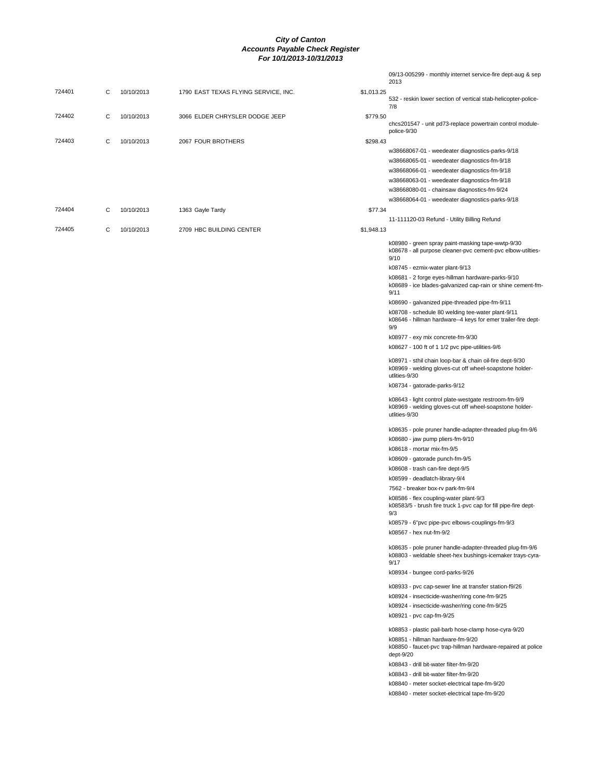|        |   |            |                                      |            | 09/13-005299 - monthly internet service-fire dept-aug & sep<br>2013                                                                                                    |
|--------|---|------------|--------------------------------------|------------|------------------------------------------------------------------------------------------------------------------------------------------------------------------------|
| 724401 | С | 10/10/2013 | 1790 EAST TEXAS FLYING SERVICE, INC. | \$1,013.25 | 532 - reskin lower section of vertical stab-helicopter-police-                                                                                                         |
|        |   |            |                                      |            | 7/8                                                                                                                                                                    |
| 724402 | С | 10/10/2013 | 3066 ELDER CHRYSLER DODGE JEEP       | \$779.50   |                                                                                                                                                                        |
|        |   |            |                                      |            | chcs201547 - unit pd73-replace powertrain control module-<br>police-9/30                                                                                               |
| 724403 | С | 10/10/2013 | 2067 FOUR BROTHERS                   | \$298.43   |                                                                                                                                                                        |
|        |   |            |                                      |            | w38668067-01 - weedeater diagnostics-parks-9/18                                                                                                                        |
|        |   |            |                                      |            | w38668065-01 - weedeater diagnostics-fm-9/18                                                                                                                           |
|        |   |            |                                      |            | w38668066-01 - weedeater diagnostics-fm-9/18                                                                                                                           |
|        |   |            |                                      |            | w38668063-01 - weedeater diagnostics-fm-9/18                                                                                                                           |
|        |   |            |                                      |            | w38668080-01 - chainsaw diagnostics-fm-9/24                                                                                                                            |
| 724404 | С | 10/10/2013 | 1363 Gayle Tardy                     | \$77.34    | w38668064-01 - weedeater diagnostics-parks-9/18                                                                                                                        |
|        |   |            |                                      |            | 11-111120-03 Refund - Utility Billing Refund                                                                                                                           |
| 724405 | С | 10/10/2013 | 2709 HBC BUILDING CENTER             | \$1,948.13 |                                                                                                                                                                        |
|        |   |            |                                      |            | k08980 - green spray paint-masking tape-wwtp-9/30                                                                                                                      |
|        |   |            |                                      |            | k08678 - all purpose cleaner-pvc cement-pvc elbow-utilties-<br>9/10                                                                                                    |
|        |   |            |                                      |            | k08745 - ezmix-water plant-9/13                                                                                                                                        |
|        |   |            |                                      |            | k08681 - 2 forge eyes-hillman hardware-parks-9/10<br>k08689 - ice blades-galvanized cap-rain or shine cement-fm-<br>9/11                                               |
|        |   |            |                                      |            | k08690 - galvanized pipe-threaded pipe-fm-9/11                                                                                                                         |
|        |   |            |                                      |            | k08708 - schedule 80 welding tee-water plant-9/11                                                                                                                      |
|        |   |            |                                      |            | k08646 - hillman hardware--4 keys for emer trailer-fire dept-                                                                                                          |
|        |   |            |                                      |            | 9/9<br>k08977 - exy mix concrete-fm-9/30                                                                                                                               |
|        |   |            |                                      |            | k08627 - 100 ft of 1 1/2 pvc pipe-utilities-9/6                                                                                                                        |
|        |   |            |                                      |            |                                                                                                                                                                        |
|        |   |            |                                      |            | k08971 - sthil chain loop-bar & chain oil-fire dept-9/30<br>k08969 - welding gloves-cut off wheel-soapstone holder-<br>utlities-9/30                                   |
|        |   |            |                                      |            | k08734 - gatorade-parks-9/12                                                                                                                                           |
|        |   |            |                                      |            | k08643 - light control plate-westgate restroom-fm-9/9<br>k08969 - welding gloves-cut off wheel-soapstone holder-<br>utlities-9/30                                      |
|        |   |            |                                      |            | k08635 - pole pruner handle-adapter-threaded plug-fm-9/6                                                                                                               |
|        |   |            |                                      |            | k08680 - jaw pump pliers-fm-9/10<br>k08618 - mortar mix-fm-9/5                                                                                                         |
|        |   |            |                                      |            | k08609 - gatorade punch-fm-9/5                                                                                                                                         |
|        |   |            |                                      |            | k08608 - trash can-fire dept-9/5                                                                                                                                       |
|        |   |            |                                      |            | k08599 - deadlatch-library-9/4                                                                                                                                         |
|        |   |            |                                      |            | 7562 - breaker box-rv park-fm-9/4                                                                                                                                      |
|        |   |            |                                      |            | k08586 - flex coupling-water plant-9/3<br>k08583/5 - brush fire truck 1-pvc cap for fill pipe-fire dept-<br>9/3                                                        |
|        |   |            |                                      |            | k08579 - 6"pvc pipe-pvc elbows-couplings-fm-9/3                                                                                                                        |
|        |   |            |                                      |            | k08567 - hex nut-fm-9/2                                                                                                                                                |
|        |   |            |                                      |            | k08635 - pole pruner handle-adapter-threaded plug-fm-9/6                                                                                                               |
|        |   |            |                                      |            | k08803 - weldable sheet-hex bushings-icemaker trays-cyra-<br>9/17                                                                                                      |
|        |   |            |                                      |            | k08934 - bungee cord-parks-9/26                                                                                                                                        |
|        |   |            |                                      |            | k08933 - pvc cap-sewer line at transfer station-f9/26                                                                                                                  |
|        |   |            |                                      |            | k08924 - insecticide-washer/ring cone-fm-9/25                                                                                                                          |
|        |   |            |                                      |            | k08924 - insecticide-washer/ring cone-fm-9/25<br>k08921 - pvc cap-fm-9/25                                                                                              |
|        |   |            |                                      |            |                                                                                                                                                                        |
|        |   |            |                                      |            | k08853 - plastic pail-barb hose-clamp hose-cyra-9/20<br>k08851 - hillman hardware-fm-9/20<br>k08850 - faucet-pvc trap-hillman hardware-repaired at police<br>dept-9/20 |
|        |   |            |                                      |            | k08843 - drill bit-water filter-fm-9/20                                                                                                                                |
|        |   |            |                                      |            | k08843 - drill bit-water filter-fm-9/20                                                                                                                                |
|        |   |            |                                      |            | k08840 - meter socket-electrical tape-fm-9/20                                                                                                                          |
|        |   |            |                                      |            | k08840 - meter socket-electrical tape-fm-9/20                                                                                                                          |
|        |   |            |                                      |            |                                                                                                                                                                        |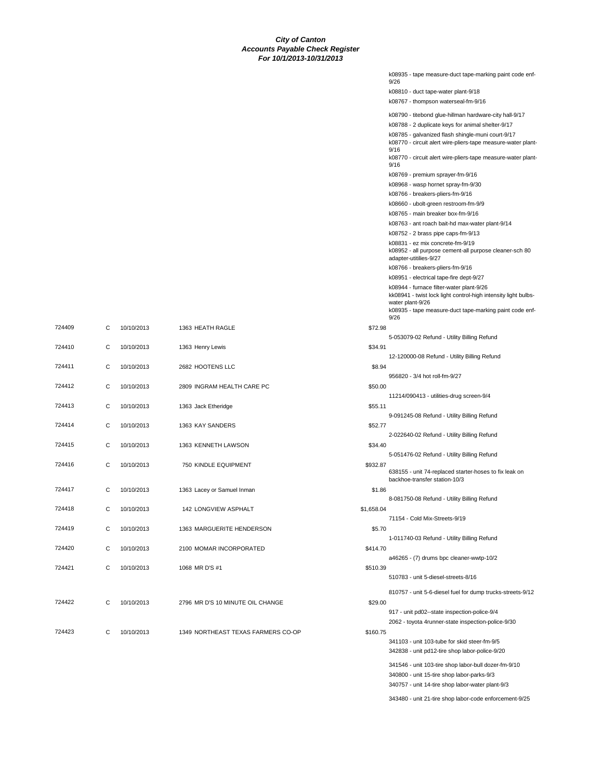|        |   |            |                                    |            | k08935 - tape measure-duct tape-marking paint code enf-<br>9/26                                                                |
|--------|---|------------|------------------------------------|------------|--------------------------------------------------------------------------------------------------------------------------------|
|        |   |            |                                    |            | k08810 - duct tape-water plant-9/18                                                                                            |
|        |   |            |                                    |            | k08767 - thompson waterseal-fm-9/16                                                                                            |
|        |   |            |                                    |            |                                                                                                                                |
|        |   |            |                                    |            | k08790 - titebond glue-hillman hardware-city hall-9/17                                                                         |
|        |   |            |                                    |            | k08788 - 2 duplicate keys for animal shelter-9/17<br>k08785 - galvanized flash shingle-muni court-9/17                         |
|        |   |            |                                    |            | k08770 - circuit alert wire-pliers-tape measure-water plant-<br>9/16                                                           |
|        |   |            |                                    |            | k08770 - circuit alert wire-pliers-tape measure-water plant-<br>9/16                                                           |
|        |   |            |                                    |            | k08769 - premium sprayer-fm-9/16                                                                                               |
|        |   |            |                                    |            | k08968 - wasp hornet spray-fm-9/30                                                                                             |
|        |   |            |                                    |            | k08766 - breakers-pliers-fm-9/16                                                                                               |
|        |   |            |                                    |            | k08660 - ubolt-green restroom-fm-9/9                                                                                           |
|        |   |            |                                    |            | k08765 - main breaker box-fm-9/16                                                                                              |
|        |   |            |                                    |            | k08763 - ant roach bait-hd max-water plant-9/14                                                                                |
|        |   |            |                                    |            | k08752 - 2 brass pipe caps-fm-9/13                                                                                             |
|        |   |            |                                    |            | k08831 - ez mix concrete-fm-9/19<br>k08952 - all purpose cement-all purpose cleaner-sch 80<br>adapter-utitilies-9/27           |
|        |   |            |                                    |            | k08766 - breakers-pliers-fm-9/16                                                                                               |
|        |   |            |                                    |            | k08951 - electrical tape-fire dept-9/27                                                                                        |
|        |   |            |                                    |            | k08944 - furnace filter-water plant-9/26<br>kk08941 - twist lock light control-high intensity light bulbs-<br>water plant-9/26 |
|        |   |            |                                    |            | k08935 - tape measure-duct tape-marking paint code enf-<br>9/26                                                                |
| 724409 | С | 10/10/2013 | 1363 HEATH RAGLE                   | \$72.98    |                                                                                                                                |
| 724410 | С | 10/10/2013 | 1363 Henry Lewis                   | \$34.91    | 5-053079-02 Refund - Utility Billing Refund                                                                                    |
|        |   |            |                                    |            | 12-120000-08 Refund - Utility Billing Refund                                                                                   |
| 724411 | С | 10/10/2013 | 2682 HOOTENS LLC                   | \$8.94     | 956820 - 3/4 hot roll-fm-9/27                                                                                                  |
| 724412 | С | 10/10/2013 | 2809 INGRAM HEALTH CARE PC         | \$50.00    |                                                                                                                                |
|        |   |            |                                    |            | 11214/090413 - utilities-drug screen-9/4                                                                                       |
| 724413 | С | 10/10/2013 | 1363 Jack Etheridge                | \$55.11    |                                                                                                                                |
| 724414 | С | 10/10/2013 | 1363 KAY SANDERS                   | \$52.77    | 9-091245-08 Refund - Utility Billing Refund                                                                                    |
|        |   |            |                                    |            | 2-022640-02 Refund - Utility Billing Refund                                                                                    |
| 724415 | С | 10/10/2013 | 1363 KENNETH LAWSON                | \$34.40    | 5-051476-02 Refund - Utility Billing Refund                                                                                    |
| 724416 | С | 10/10/2013 | 750 KINDLE EQUIPMENT               | \$932.87   |                                                                                                                                |
|        |   |            |                                    |            | 638155 - unit 74-replaced starter-hoses to fix leak on<br>backhoe-transfer station-10/3                                        |
| 724417 | С | 10/10/2013 | 1363 Lacey or Samuel Inman         | \$1.86     | 8-081750-08 Refund - Utility Billing Refund                                                                                    |
| 724418 | C | 10/10/2013 | 142 LONGVIEW ASPHALT               | \$1,658.04 |                                                                                                                                |
|        |   |            |                                    |            | 71154 - Cold Mix-Streets-9/19                                                                                                  |
| 724419 | С | 10/10/2013 | 1363 MARGUERITE HENDERSON          | \$5.70     |                                                                                                                                |
| 724420 | С | 10/10/2013 | 2100 MOMAR INCORPORATED            | \$414.70   | 1-011740-03 Refund - Utility Billing Refund                                                                                    |
|        |   |            |                                    |            | a46265 - (7) drums bpc cleaner-wwtp-10/2                                                                                       |
| 724421 | С | 10/10/2013 | 1068 MR D'S #1                     | \$510.39   |                                                                                                                                |
|        |   |            |                                    |            | 510783 - unit 5-diesel-streets-8/16                                                                                            |
|        |   |            |                                    |            | 810757 - unit 5-6-diesel fuel for dump trucks-streets-9/12                                                                     |
| 724422 | С | 10/10/2013 | 2796 MR D'S 10 MINUTE OIL CHANGE   | \$29.00    |                                                                                                                                |
|        |   |            |                                    |            | 917 - unit pd02--state inspection-police-9/4<br>2062 - toyota 4runner-state inspection-police-9/30                             |
| 724423 | С | 10/10/2013 | 1349 NORTHEAST TEXAS FARMERS CO-OP | \$160.75   |                                                                                                                                |
|        |   |            |                                    |            | 341103 - unit 103-tube for skid steer-fm-9/5                                                                                   |
|        |   |            |                                    |            | 342838 - unit pd12-tire shop labor-police-9/20                                                                                 |
|        |   |            |                                    |            | 341546 - unit 103-tire shop labor-bull dozer-fm-9/10                                                                           |
|        |   |            |                                    |            | 340800 - unit 15-tire shop labor-parks-9/3                                                                                     |
|        |   |            |                                    |            | 340757 - unit 14-tire shop labor-water plant-9/3                                                                               |

343480 - unit 21-tire shop labor-code enforcement-9/25

| 724410 | C | 10/10/2013 | 1363 Henry Lewis                   | \$34.91    |
|--------|---|------------|------------------------------------|------------|
| 724411 | C | 10/10/2013 | 2682 HOOTENS LLC                   | \$8.94     |
| 724412 | C | 10/10/2013 | 2809 INGRAM HEALTH CARE PC         | \$50.00    |
| 724413 | C | 10/10/2013 | 1363 Jack Etheridge                | \$55.11    |
| 724414 | C | 10/10/2013 | 1363 KAY SANDERS                   | \$52.77    |
| 724415 | C | 10/10/2013 | 1363 KENNETH LAWSON                | \$34.40    |
| 724416 | C | 10/10/2013 | 750 KINDLE EQUIPMENT               | \$932.87   |
| 724417 | C | 10/10/2013 | 1363 Lacey or Samuel Inman         | \$1.86     |
| 724418 | C | 10/10/2013 | 142 LONGVIEW ASPHALT               | \$1,658.04 |
| 724419 | C | 10/10/2013 | 1363 MARGUERITE HENDERSON          | \$5.70     |
| 724420 | C | 10/10/2013 | 2100 MOMAR INCORPORATED            | \$414.70   |
| 724421 | C | 10/10/2013 | 1068 MR D'S #1                     | \$510.39   |
| 724422 | C | 10/10/2013 | 2796 MR D'S 10 MINUTE OIL CHANGE   | \$29.00    |
| 724423 | C | 10/10/2013 | 1349 NORTHEAST TEXAS FARMERS CO-OP | \$160.75   |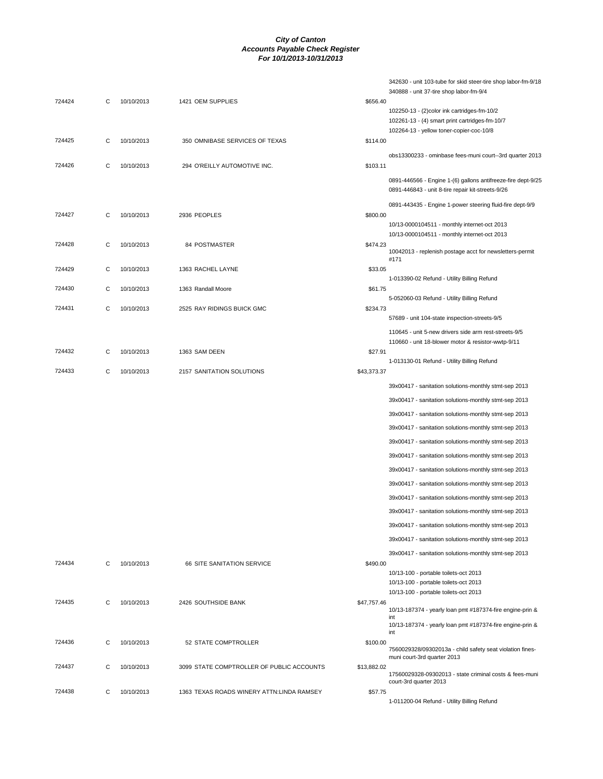|        |   |            |                                           |             | 342630 - unit 103-tube for skid steer-tire shop labor-fm-9/18                                               |
|--------|---|------------|-------------------------------------------|-------------|-------------------------------------------------------------------------------------------------------------|
| 724424 | C | 10/10/2013 | 1421 OEM SUPPLIES                         | \$656.40    | 340888 - unit 37-tire shop labor-fm-9/4                                                                     |
|        |   |            |                                           |             | 102250-13 - (2)color ink cartridges-fm-10/2                                                                 |
|        |   |            |                                           |             | 102261-13 - (4) smart print cartridges-fm-10/7                                                              |
| 724425 | C | 10/10/2013 | 350 OMNIBASE SERVICES OF TEXAS            | \$114.00    | 102264-13 - yellow toner-copier-coc-10/8                                                                    |
|        |   |            |                                           |             |                                                                                                             |
| 724426 | C | 10/10/2013 | 294 O'REILLY AUTOMOTIVE INC.              | \$103.11    | obs13300233 - ominbase fees-muni court--3rd quarter 2013                                                    |
|        |   |            |                                           |             | 0891-446566 - Engine 1-(6) gallons antifreeze-fire dept-9/25                                                |
|        |   |            |                                           |             | 0891-446843 - unit 8-tire repair kit-streets-9/26                                                           |
|        |   |            |                                           |             | 0891-443435 - Engine 1-power steering fluid-fire dept-9/9                                                   |
| 724427 | C | 10/10/2013 | 2936 PEOPLES                              | \$800.00    | 10/13-0000104511 - monthly internet-oct 2013                                                                |
|        |   |            |                                           |             | 10/13-0000104511 - monthly internet-oct 2013                                                                |
| 724428 | С | 10/10/2013 | 84 POSTMASTER                             | \$474.23    |                                                                                                             |
|        |   |            |                                           |             | 10042013 - replenish postage acct for newsletters-permit<br>#171                                            |
| 724429 | C | 10/10/2013 | 1363 RACHEL LAYNE                         | \$33.05     |                                                                                                             |
| 724430 | C | 10/10/2013 | 1363 Randall Moore                        | \$61.75     | 1-013390-02 Refund - Utility Billing Refund                                                                 |
|        |   |            |                                           |             | 5-052060-03 Refund - Utility Billing Refund                                                                 |
| 724431 | C | 10/10/2013 | 2525 RAY RIDINGS BUICK GMC                | \$234.73    |                                                                                                             |
|        |   |            |                                           |             | 57689 - unit 104-state inspection-streets-9/5                                                               |
|        |   |            |                                           |             | 110645 - unit 5-new drivers side arm rest-streets-9/5<br>110660 - unit 18-blower motor & resistor-wwtp-9/11 |
| 724432 | C | 10/10/2013 | 1363 SAM DEEN                             | \$27.91     |                                                                                                             |
|        |   |            |                                           |             | 1-013130-01 Refund - Utility Billing Refund                                                                 |
| 724433 | C | 10/10/2013 | 2157 SANITATION SOLUTIONS                 | \$43,373.37 |                                                                                                             |
|        |   |            |                                           |             | 39x00417 - sanitation solutions-monthly stmt-sep 2013                                                       |
|        |   |            |                                           |             | 39x00417 - sanitation solutions-monthly stmt-sep 2013                                                       |
|        |   |            |                                           |             | 39x00417 - sanitation solutions-monthly stmt-sep 2013                                                       |
|        |   |            |                                           |             | 39x00417 - sanitation solutions-monthly stmt-sep 2013                                                       |
|        |   |            |                                           |             | 39x00417 - sanitation solutions-monthly stmt-sep 2013                                                       |
|        |   |            |                                           |             | 39x00417 - sanitation solutions-monthly stmt-sep 2013                                                       |
|        |   |            |                                           |             | 39x00417 - sanitation solutions-monthly stmt-sep 2013                                                       |
|        |   |            |                                           |             | 39x00417 - sanitation solutions-monthly stmt-sep 2013                                                       |
|        |   |            |                                           |             | 39x00417 - sanitation solutions-monthly stmt-sep 2013                                                       |
|        |   |            |                                           |             | 39x00417 - sanitation solutions-monthly stmt-sep 2013                                                       |
|        |   |            |                                           |             | 39x00417 - sanitation solutions-monthly stmt-sep 2013                                                       |
|        |   |            |                                           |             | 39x00417 - sanitation solutions-monthly stmt-sep 2013                                                       |
|        |   |            |                                           |             |                                                                                                             |
| 724434 | C | 10/10/2013 | 66 SITE SANITATION SERVICE                | \$490.00    | 39x00417 - sanitation solutions-monthly stmt-sep 2013                                                       |
|        |   |            |                                           |             | 10/13-100 - portable toilets-oct 2013                                                                       |
|        |   |            |                                           |             | 10/13-100 - portable toilets-oct 2013                                                                       |
| 724435 | C | 10/10/2013 | 2426 SOUTHSIDE BANK                       | \$47,757.46 | 10/13-100 - portable toilets-oct 2013                                                                       |
|        |   |            |                                           |             | 10/13-187374 - yearly loan pmt #187374-fire engine-prin &<br>int                                            |
|        |   |            |                                           |             | 10/13-187374 - yearly loan pmt #187374-fire engine-prin &<br>int                                            |
| 724436 | C | 10/10/2013 | 52 STATE COMPTROLLER                      | \$100.00    | 7560029328/09302013a - child safety seat violation fines-                                                   |
|        |   |            |                                           |             | muni court-3rd quarter 2013                                                                                 |
| 724437 | C | 10/10/2013 | 3099 STATE COMPTROLLER OF PUBLIC ACCOUNTS | \$13,882.02 | 17560029328-09302013 - state criminal costs & fees-muni                                                     |
|        |   |            |                                           |             | court-3rd quarter 2013                                                                                      |
| 724438 | С | 10/10/2013 | 1363 TEXAS ROADS WINERY ATTN:LINDA RAMSEY | \$57.75     | 1-011200-04 Refund - Utility Billing Refund                                                                 |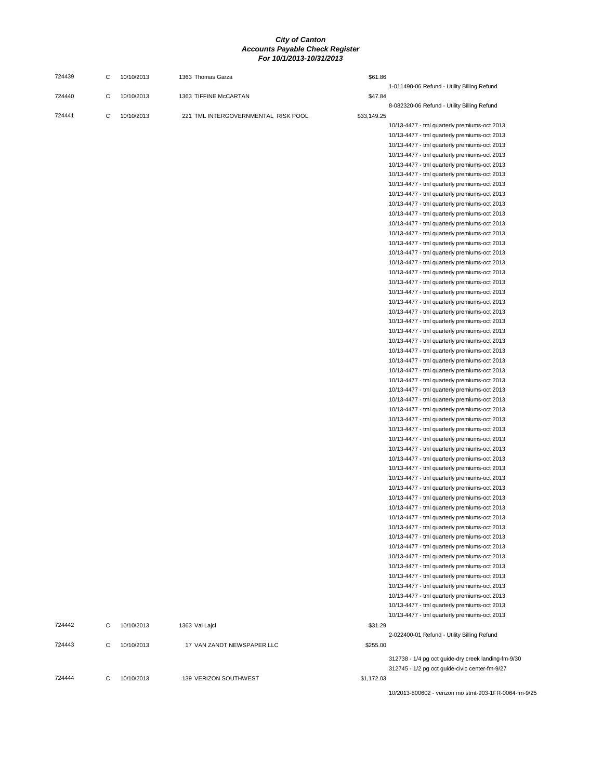| 724439 | C | 10/10/2013 | 1363 Thomas Garza                   | \$61.86     |                                                                                              |
|--------|---|------------|-------------------------------------|-------------|----------------------------------------------------------------------------------------------|
| 724440 | C | 10/10/2013 | 1363 TIFFINE McCARTAN               | \$47.84     | 1-011490-06 Refund - Utility Billing Refund                                                  |
|        |   |            |                                     |             | 8-082320-06 Refund - Utility Billing Refund                                                  |
| 724441 | C | 10/10/2013 | 221 TML INTERGOVERNMENTAL RISK POOL | \$33,149.25 |                                                                                              |
|        |   |            |                                     |             | 10/13-4477 - tml quarterly premiums-oct 2013                                                 |
|        |   |            |                                     |             | 10/13-4477 - tml quarterly premiums-oct 2013                                                 |
|        |   |            |                                     |             | 10/13-4477 - tml quarterly premiums-oct 2013                                                 |
|        |   |            |                                     |             | 10/13-4477 - tml quarterly premiums-oct 2013                                                 |
|        |   |            |                                     |             | 10/13-4477 - tml quarterly premiums-oct 2013                                                 |
|        |   |            |                                     |             | 10/13-4477 - tml quarterly premiums-oct 2013                                                 |
|        |   |            |                                     |             | 10/13-4477 - tml quarterly premiums-oct 2013                                                 |
|        |   |            |                                     |             | 10/13-4477 - tml quarterly premiums-oct 2013                                                 |
|        |   |            |                                     |             | 10/13-4477 - tml quarterly premiums-oct 2013                                                 |
|        |   |            |                                     |             | 10/13-4477 - tml quarterly premiums-oct 2013                                                 |
|        |   |            |                                     |             | 10/13-4477 - tml quarterly premiums-oct 2013<br>10/13-4477 - tml quarterly premiums-oct 2013 |
|        |   |            |                                     |             | 10/13-4477 - tml quarterly premiums-oct 2013                                                 |
|        |   |            |                                     |             | 10/13-4477 - tml quarterly premiums-oct 2013                                                 |
|        |   |            |                                     |             | 10/13-4477 - tml quarterly premiums-oct 2013                                                 |
|        |   |            |                                     |             | 10/13-4477 - tml quarterly premiums-oct 2013                                                 |
|        |   |            |                                     |             | 10/13-4477 - tml quarterly premiums-oct 2013                                                 |
|        |   |            |                                     |             | 10/13-4477 - tml quarterly premiums-oct 2013                                                 |
|        |   |            |                                     |             | 10/13-4477 - tml quarterly premiums-oct 2013                                                 |
|        |   |            |                                     |             | 10/13-4477 - tml quarterly premiums-oct 2013                                                 |
|        |   |            |                                     |             | 10/13-4477 - tml quarterly premiums-oct 2013                                                 |
|        |   |            |                                     |             | 10/13-4477 - tml quarterly premiums-oct 2013                                                 |
|        |   |            |                                     |             | 10/13-4477 - tml quarterly premiums-oct 2013                                                 |
|        |   |            |                                     |             | 10/13-4477 - tml quarterly premiums-oct 2013                                                 |
|        |   |            |                                     |             | 10/13-4477 - tml quarterly premiums-oct 2013                                                 |
|        |   |            |                                     |             | 10/13-4477 - tml quarterly premiums-oct 2013                                                 |
|        |   |            |                                     |             | 10/13-4477 - tml quarterly premiums-oct 2013                                                 |
|        |   |            |                                     |             | 10/13-4477 - tml quarterly premiums-oct 2013                                                 |
|        |   |            |                                     |             | 10/13-4477 - tml quarterly premiums-oct 2013                                                 |
|        |   |            |                                     |             | 10/13-4477 - tml quarterly premiums-oct 2013                                                 |
|        |   |            |                                     |             | 10/13-4477 - tml quarterly premiums-oct 2013                                                 |
|        |   |            |                                     |             | 10/13-4477 - tml quarterly premiums-oct 2013                                                 |
|        |   |            |                                     |             | 10/13-4477 - tml quarterly premiums-oct 2013                                                 |
|        |   |            |                                     |             | 10/13-4477 - tml quarterly premiums-oct 2013                                                 |
|        |   |            |                                     |             | 10/13-4477 - tml quarterly premiums-oct 2013                                                 |
|        |   |            |                                     |             | 10/13-4477 - tml quarterly premiums-oct 2013                                                 |
|        |   |            |                                     |             | 10/13-4477 - tml quarterly premiums-oct 2013                                                 |
|        |   |            |                                     |             | 10/13-4477 - tml quarterly premiums-oct 2013                                                 |
|        |   |            |                                     |             | 10/13-4477 - tml quarterly premiums-oct 2013                                                 |
|        |   |            |                                     |             | 10/13-4477 - tml quarterly premiums-oct 2013                                                 |
|        |   |            |                                     |             | 10/13-4477 - tml quarterly premiums-oct 2013<br>10/13-4477 - tml quarterly premiums-oct 2013 |
|        |   |            |                                     |             | 10/13-4477 - tml quarterly premiums-oct 2013                                                 |
|        |   |            |                                     |             | 10/13-4477 - tml quarterly premiums-oct 2013                                                 |
|        |   |            |                                     |             | 10/13-4477 - tml quarterly premiums-oct 2013                                                 |
|        |   |            |                                     |             | 10/13-4477 - tml quarterly premiums-oct 2013                                                 |
|        |   |            |                                     |             | 10/13-4477 - tml quarterly premiums-oct 2013                                                 |
|        |   |            |                                     |             | 10/13-4477 - tml quarterly premiums-oct 2013                                                 |
|        |   |            |                                     |             | 10/13-4477 - tml quarterly premiums-oct 2013                                                 |
|        |   |            |                                     |             | 10/13-4477 - tml quarterly premiums-oct 2013                                                 |
|        |   |            |                                     |             | 10/13-4477 - tml quarterly premiums-oct 2013                                                 |
| 724442 | С | 10/10/2013 | 1363 Val Lajci                      | \$31.29     |                                                                                              |
|        |   |            |                                     |             | 2-022400-01 Refund - Utility Billing Refund                                                  |
| 724443 | C | 10/10/2013 | 17 VAN ZANDT NEWSPAPER LLC          | \$255.00    |                                                                                              |
|        |   |            |                                     |             | 312738 - 1/4 pg oct guide-dry creek landing-fm-9/30                                          |
|        |   |            |                                     |             | 312745 - 1/2 pg oct guide-civic center-fm-9/27                                               |
| 724444 | С | 10/10/2013 | 139 VERIZON SOUTHWEST               | \$1,172.03  |                                                                                              |
|        |   |            |                                     |             |                                                                                              |

10/2013-800602 - verizon mo stmt-903-1FR-0064-fm-9/25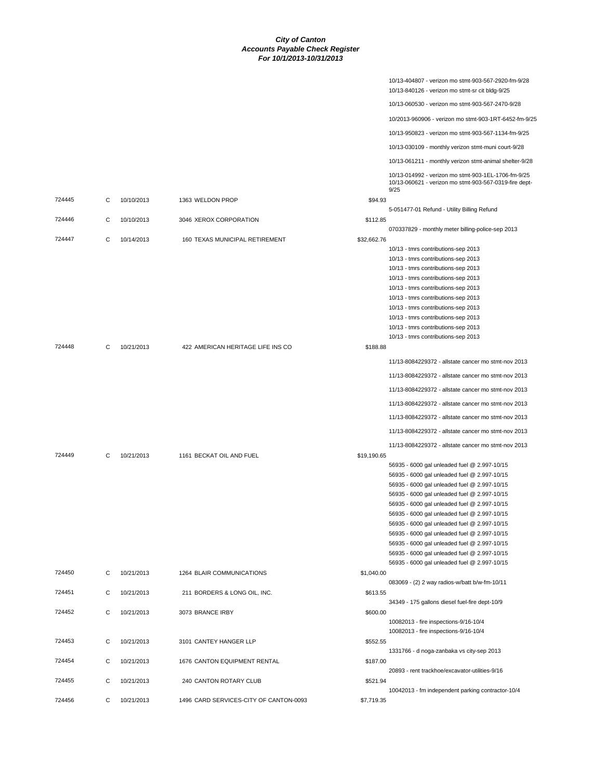|        |   |            |                                        | 10/13-404807 - verizon mo stmt-903-567-2920-fm-9/28<br>10/13-840126 - verizon mo stmt-sr cit bldg-9/25          |
|--------|---|------------|----------------------------------------|-----------------------------------------------------------------------------------------------------------------|
|        |   |            |                                        | 10/13-060530 - verizon mo stmt-903-567-2470-9/28                                                                |
|        |   |            |                                        | 10/2013-960906 - verizon mo stmt-903-1RT-6452-fm-9/25                                                           |
|        |   |            |                                        | 10/13-950823 - verizon mo stmt-903-567-1134-fm-9/25                                                             |
|        |   |            |                                        | 10/13-030109 - monthly verizon stmt-muni court-9/28                                                             |
|        |   |            |                                        | 10/13-061211 - monthly verizon stmt-animal shelter-9/28                                                         |
|        |   |            |                                        | 10/13-014992 - verizon mo stmt-903-1EL-1706-fm-9/25                                                             |
|        |   |            |                                        | 10/13-060621 - verizon mo stmt-903-567-0319-fire dept-<br>9/25                                                  |
| 724445 | С | 10/10/2013 | 1363 WELDON PROP                       | \$94.93<br>5-051477-01 Refund - Utility Billing Refund                                                          |
| 724446 | C | 10/10/2013 | 3046 XEROX CORPORATION                 | \$112.85<br>070337829 - monthly meter billing-police-sep 2013                                                   |
| 724447 | C | 10/14/2013 | 160 TEXAS MUNICIPAL RETIREMENT         | \$32,662.76                                                                                                     |
|        |   |            |                                        | 10/13 - tmrs contributions-sep 2013                                                                             |
|        |   |            |                                        | 10/13 - tmrs contributions-sep 2013<br>10/13 - tmrs contributions-sep 2013                                      |
|        |   |            |                                        | 10/13 - tmrs contributions-sep 2013                                                                             |
|        |   |            |                                        | 10/13 - tmrs contributions-sep 2013                                                                             |
|        |   |            |                                        | 10/13 - tmrs contributions-sep 2013                                                                             |
|        |   |            |                                        | 10/13 - tmrs contributions-sep 2013<br>10/13 - tmrs contributions-sep 2013                                      |
|        |   |            |                                        | 10/13 - tmrs contributions-sep 2013                                                                             |
|        |   |            |                                        | 10/13 - tmrs contributions-sep 2013                                                                             |
| 724448 | C | 10/21/2013 | 422 AMERICAN HERITAGE LIFE INS CO      | \$188.88                                                                                                        |
|        |   |            |                                        | 11/13-8084229372 - allstate cancer mo stmt-nov 2013                                                             |
|        |   |            |                                        | 11/13-8084229372 - allstate cancer mo stmt-nov 2013                                                             |
|        |   |            |                                        | 11/13-8084229372 - allstate cancer mo stmt-nov 2013                                                             |
|        |   |            |                                        | 11/13-8084229372 - allstate cancer mo stmt-nov 2013                                                             |
|        |   |            |                                        | 11/13-8084229372 - allstate cancer mo stmt-nov 2013                                                             |
|        |   |            |                                        | 11/13-8084229372 - allstate cancer mo stmt-nov 2013                                                             |
|        |   |            |                                        | 11/13-8084229372 - allstate cancer mo stmt-nov 2013                                                             |
| 724449 | C | 10/21/2013 | 1161 BECKAT OIL AND FUEL               | \$19,190.65<br>56935 - 6000 gal unleaded fuel @ 2.997-10/15                                                     |
|        |   |            |                                        | 56935 - 6000 gal unleaded fuel @ 2.997-10/15                                                                    |
|        |   |            |                                        | 56935 - 6000 gal unleaded fuel @ 2.997-10/15                                                                    |
|        |   |            |                                        | 56935 - 6000 gal unleaded fuel @ 2.997-10/15                                                                    |
|        |   |            |                                        | 56935 - 6000 gal unleaded fuel @ 2.997-10/15                                                                    |
|        |   |            |                                        | 56935 - 6000 gal unleaded fuel @ 2.997-10/15<br>56935 - 6000 gal unleaded fuel @ 2.997-10/15                    |
|        |   |            |                                        | 56935 - 6000 gal unleaded fuel @ 2.997-10/15                                                                    |
|        |   |            |                                        | 56935 - 6000 gal unleaded fuel @ 2.997-10/15                                                                    |
|        |   |            |                                        | 56935 - 6000 gal unleaded fuel @ 2.997-10/15                                                                    |
| 724450 | C | 10/21/2013 | 1264 BLAIR COMMUNICATIONS              | 56935 - 6000 gal unleaded fuel @ 2.997-10/15<br>\$1,040.00                                                      |
| 724451 | С | 10/21/2013 | 211 BORDERS & LONG OIL, INC.           | 083069 - (2) 2 way radios-w/batt b/w-fm-10/11<br>\$613.55                                                       |
|        |   |            |                                        | 34349 - 175 gallons diesel fuel-fire dept-10/9                                                                  |
| 724452 | C | 10/21/2013 | 3073 BRANCE IRBY                       | \$600.00<br>10082013 - fire inspections-9/16-10/4                                                               |
|        |   |            |                                        | 10082013 - fire inspections-9/16-10/4                                                                           |
| 724453 | C | 10/21/2013 | 3101 CANTEY HANGER LLP                 | \$552.55<br>1331766 - d noga-zanbaka vs city-sep 2013                                                           |
| 724454 | C | 10/21/2013 | 1676 CANTON EQUIPMENT RENTAL           | \$187.00                                                                                                        |
| 724455 | C | 10/21/2013 | 240 CANTON ROTARY CLUB                 | 20893 - rent trackhoe/excavator-utilities-9/16<br>\$521.94<br>10042013 - fm independent parking contractor-10/4 |
| 724456 | С | 10/21/2013 | 1496 CARD SERVICES-CITY OF CANTON-0093 | \$7,719.35                                                                                                      |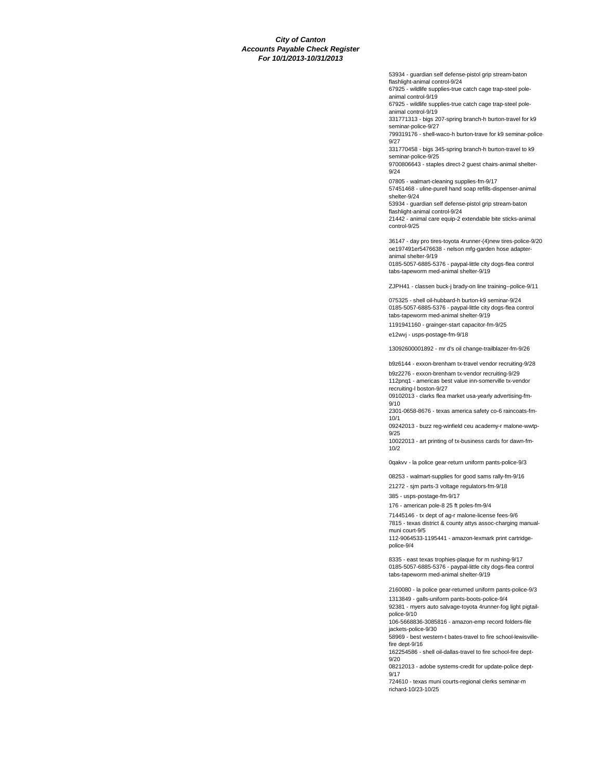53934 - guardian self defense-pistol grip stream-baton flashlight-animal control-9/24

67925 - wildlife supplies-true catch cage trap-steel poleanimal control-9/19

67925 - wildlife supplies-true catch cage trap-steel poleanimal control-9/19

331771313 - bigs 207-spring branch-h burton-travel for k9 seminar-police-9/27

799319176 - shell-waco-h burton-trave for k9 seminar-police-9/27

331770458 - bigs 345-spring branch-h burton-travel to k9 seminar-police-9/25

9700806643 - staples direct-2 guest chairs-animal shelter-9/24

07805 - walmart-cleaning supplies-fm-9/17 57451468 - uline-purell hand soap refills-dispenser-animal shelter-9/24 53934 - guardian self defense-pistol grip stream-baton

flashlight-animal control-9/24 21442 - animal care equip-2 extendable bite sticks-animal control-9/25

36147 - day pro tires-toyota 4runner-(4)new tires-police-9/20 oe197491er5476638 - nelson mfg-garden hose adapteranimal shelter-9/19 0185-5057-6885-5376 - paypal-little city dogs-flea control tabs-tapeworm med-animal shelter-9/19

ZJPH41 - classen buck-j brady-on line training--police-9/11

075325 - shell oil-hubbard-h burton-k9 seminar-9/24 0185-5057-6885-5376 - paypal-little city dogs-flea control tabs-tapeworm med-animal shelter-9/19

1191941160 - grainger-start capacitor-fm-9/25 e12wvj - usps-postage-fm-9/18

13092600001892 - mr d's oil change-trailblazer-fm-9/26

b9z6144 - exxon-brenham tx-travel vendor recruiting-9/28

b9z2276 - exxon-brenham tx-vendor recruiting-9/29 112pnq1 - americas best value inn-somerville tx-vendor

recruiting-l boston-9/27 09102013 - clarks flea market usa-yearly advertising-fm-9/10

2301-0658-8676 - texas america safety co-6 raincoats-fm-10/1

09242013 - buzz reg-winfield ceu academy-r malone-wwtp-9/25

10022013 - art printing of tx-business cards for dawn-fm-10/2

0qakvv - la police gear-return uniform pants-police-9/3

08253 - walmart-supplies for good sams rally-fm-9/16

21272 - sjm parts-3 voltage regulators-fm-9/18 385 - usps-postage-fm-9/17

176 - american pole-8 25 ft poles-fm-9/4

71445146 - tx dept of ag-r malone-license fees-9/6

7815 - texas district & county attys assoc-charging manualmuni court-9/5

112-9064533-1195441 - amazon-lexmark print cartridgepolice-9/4

8335 - east texas trophies-plaque for m rushing-9/17 0185-5057-6885-5376 - paypal-little city dogs-flea control tabs-tapeworm med-animal shelter-9/19

2160080 - la police gear-returned uniform pants-police-9/3

1313849 - galls-uniform pants-boots-police-9/4 92381 - myers auto salvage-toyota 4runner-fog light pigtailpolice-9/10

106-5668836-3085816 - amazon-emp record folders-file jackets-police-9/30

58969 - best western-t bates-travel to fire school-lewisvillefire dept-9/16

162254586 - shell oil-dallas-travel to fire school-fire dept-9/20

08212013 - adobe systems-credit for update-police dept-9/17

724610 - texas muni courts-regional clerks seminar-m richard-10/23-10/25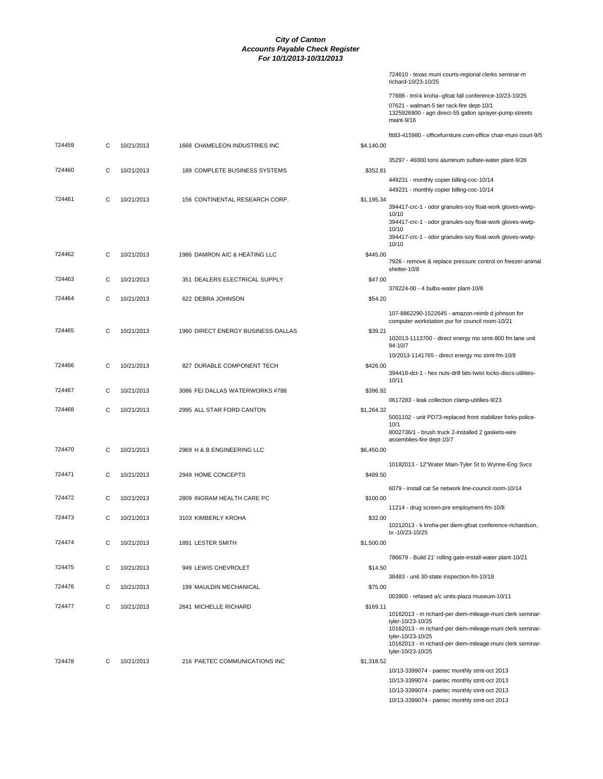|            | 724610 - texas muni courts-regional clerks seminar-m<br>richard-10/23-10/25                                                                 |
|------------|---------------------------------------------------------------------------------------------------------------------------------------------|
|            | 77888 - tml-k kroha--gfoat fall conference-10/23-10/25                                                                                      |
|            | 07621 - walmart-5 tier rack-fire dept-10/1<br>1325926900 - agri direct-55 gallon sprayer-pump-streets<br>maint-9/16                         |
|            | ftt83-415980 - officefurniture.com-office chair-muni court-9/5                                                                              |
| \$4,140.00 |                                                                                                                                             |
| \$352.81   | 35297 - 46000 tons aluminum sulfate-water plant-9/26                                                                                        |
|            | 449231 - monthly copier billing-coc-10/14<br>449231 - monthly copier billing-coc-10/14                                                      |
| \$1,195.34 | 394417-crc-1 - odor granules-soy float-work gloves-wwtp-                                                                                    |
|            | 10/10                                                                                                                                       |
|            | 394417-crc-1 - odor granules-soy float-work gloves-wwtp-<br>10/10                                                                           |
|            | 394417-crc-1 - odor granules-soy float-work gloves-wwtp-<br>10/10                                                                           |
| \$445.00   | 7926 - remove & replace pressure control on freezer-animal                                                                                  |
| \$47.00    | shelter-10/8                                                                                                                                |
|            | 378224-00 - 4 bulbs-water plant-10/8                                                                                                        |
| \$54.20    |                                                                                                                                             |
|            | 107-8862290-1522645 - amazon-reimb d johnson for<br>computer workstation pur for council room-10/21                                         |
| \$39.21    | 102013-1113700 - direct energy mo stmt-800 fm lane unit<br>94-10/7                                                                          |
|            | 10/2013-1141765 - direct energy mo stmt-fm-10/8                                                                                             |
| \$426.00   | 394418-dct-1 - hex nuts-drill bits-twist locks-discs-utilities-<br>10/11                                                                    |
| \$396.92   |                                                                                                                                             |
|            | 0617283 - leak collection clamp-utitilies-9/23                                                                                              |
| \$1,264.32 | 5001102 - unit PD73-replaced front stabilizer forks-police-                                                                                 |
|            | 10/1<br>8002736/1 - brush truck 2-installed 2 gaskets-wire<br>assemblies-fire dept-10/7                                                     |
| \$6,450.00 |                                                                                                                                             |
| \$489.50   | 10182013 - 12"Water Main-Tyler St to Wynne-Eng Svcs                                                                                         |
|            | 6079 - install cat 5e network line-council room-10/14                                                                                       |
| \$100.00   | 11214 - drug screen-pre employment-fm-10/8                                                                                                  |
| \$32.00    |                                                                                                                                             |
|            | 10212013 - k kroha-per diem-gfoat conference-richardson,<br>tx -10/23-10/25                                                                 |
| \$1,500.00 |                                                                                                                                             |
|            | 786679 - Build 21' rolling gate-install-water plant-10/21                                                                                   |
| \$14.50    |                                                                                                                                             |
| \$75.00    | 38483 - unit 30-state inspection-fm-10/18                                                                                                   |
|            | 003900 - refased a/c units-plaza museum-10/11                                                                                               |
| \$169.11   | 10162013 - m richard-per diem-mileage-muni clerk seminar-<br>tyler-10/23-10/25                                                              |
|            | 10162013 - m richard-per diem-mileage-muni clerk seminar-<br>tyler-10/23-10/25<br>10162013 - m richard-per diem-mileage-muni clerk seminar- |
|            | tyler-10/23-10/25                                                                                                                           |
| \$1,318.52 |                                                                                                                                             |
|            | 10/13-3399074 - paetec monthly stmt-oct 2013                                                                                                |
|            | 10/13-3399074 - paetec monthly stmt-oct 2013                                                                                                |
|            | 10/13-3399074 - paetec monthly stmt-oct 2013                                                                                                |
|            | 10/13-3399074 - paetec monthly stmt-oct 2013                                                                                                |

| 724459 | С | 10/21/2013 | 1668 CHAMELEON INDUSTRIES INC      | \$4,140.00 |                                                                                                                       |
|--------|---|------------|------------------------------------|------------|-----------------------------------------------------------------------------------------------------------------------|
|        |   |            |                                    |            | 35297 - 46000 tons aluminum sulfate-water plan                                                                        |
| 724460 | С | 10/21/2013 | 189 COMPLETE BUSINESS SYSTEMS      | \$352.81   |                                                                                                                       |
|        |   |            |                                    |            | 449231 - monthly copier billing-coc-10/14                                                                             |
|        |   |            |                                    |            | 449231 - monthly copier billing-coc-10/14                                                                             |
| 724461 | С | 10/21/2013 | 156 CONTINENTAL RESEARCH CORP.     | \$1,195.34 | 394417-crc-1 - odor granules-soy float-work glov<br>10/10                                                             |
|        |   |            |                                    |            | 394417-crc-1 - odor granules-soy float-work glov<br>10/10                                                             |
|        |   |            |                                    |            | 394417-crc-1 - odor granules-soy float-work glov<br>10/10                                                             |
| 724462 | С | 10/21/2013 | 1986 DAMRON A/C & HEATING LLC      | \$445.00   |                                                                                                                       |
|        |   |            |                                    |            | 7926 - remove & replace pressure control on fre<br>shelter-10/8                                                       |
| 724463 | С | 10/21/2013 | 351 DEALERS ELECTRICAL SUPPLY      | \$47.00    | 378224-00 - 4 bulbs-water plant-10/8                                                                                  |
| 724464 | С | 10/21/2013 | 622 DEBRA JOHNSON                  | \$54.20    |                                                                                                                       |
|        |   |            |                                    |            | 107-8862290-1522645 - amazon-reimb d johnso<br>computer workstation pur for council room-10/21                        |
| 724465 | С | 10/21/2013 | 1960 DIRECT ENERGY BUSINESS-DALLAS | \$39.21    |                                                                                                                       |
|        |   |            |                                    |            | 102013-1113700 - direct energy mo stmt-800 fm<br>94-10/7                                                              |
|        |   |            |                                    |            | 10/2013-1141765 - direct energy mo stmt-fm-10/                                                                        |
| 724466 | С | 10/21/2013 | 827 DURABLE COMPONENT TECH         | \$426.00   |                                                                                                                       |
|        |   |            |                                    |            | 394418-dct-1 - hex nuts-drill bits-twist locks-disc<br>10/11                                                          |
| 724467 | C | 10/21/2013 | 3086 FEI DALLAS WATERWORKS #788    | \$396.92   |                                                                                                                       |
|        |   |            |                                    |            | 0617283 - leak collection clamp-utitilies-9/23                                                                        |
| 724468 | С | 10/21/2013 | 2995 ALL STAR FORD CANTON          | \$1,264.32 |                                                                                                                       |
|        |   |            |                                    |            | 5001102 - unit PD73-replaced front stabilizer for                                                                     |
|        |   |            |                                    |            | 10/1<br>8002736/1 - brush truck 2-installed 2 gaskets-wi<br>assemblies-fire dept-10/7                                 |
| 724470 | C | 10/21/2013 | 2969 H & B ENGINEERING LLC         | \$6,450.00 |                                                                                                                       |
|        |   |            |                                    |            |                                                                                                                       |
|        |   |            |                                    |            | 10182013 - 12"Water Main-Tyler St to Wynne-E                                                                          |
| 724471 | С | 10/21/2013 | 2949 HOME CONCEPTS                 | \$489.50   |                                                                                                                       |
|        |   |            |                                    |            | 6079 - install cat 5e network line-council room-10                                                                    |
| 724472 | С | 10/21/2013 | 2809 INGRAM HEALTH CARE PC         | \$100.00   |                                                                                                                       |
|        |   |            |                                    |            | 11214 - drug screen-pre employment-fm-10/8                                                                            |
| 724473 | C | 10/21/2013 | 3103 KIMBERLY KROHA                | \$32.00    | 10212013 - k kroha-per diem-gfoat conference-ri                                                                       |
|        |   |            |                                    |            | tx -10/23-10/25                                                                                                       |
| 724474 | С | 10/21/2013 | 1891 LESTER SMITH                  | \$1,500.00 |                                                                                                                       |
|        |   |            |                                    |            | 786679 - Build 21' rolling gate-install-water plant-                                                                  |
| 724475 | С | 10/21/2013 | 949 LEWIS CHEVROLET                | \$14.50    |                                                                                                                       |
|        |   |            |                                    |            | 38483 - unit 30-state inspection-fm-10/18                                                                             |
| 724476 | С | 10/21/2013 | 199 MAULDIN MECHANICAL             | \$75.00    |                                                                                                                       |
|        |   |            |                                    |            | 003900 - refased a/c units-plaza museum-10/11                                                                         |
| 724477 | С | 10/21/2013 | 2641 MICHELLE RICHARD              | \$169.11   |                                                                                                                       |
|        |   |            |                                    |            | 10162013 - m richard-per diem-mileage-muni cle<br>tyler-10/23-10/25                                                   |
|        |   |            |                                    |            | 10162013 - m richard-per diem-mileage-muni cle<br>tyler-10/23-10/25<br>10162013 - m richard-per diem-mileage-muni cle |
|        |   |            |                                    |            | tyler-10/23-10/25                                                                                                     |
| 724478 | С | 10/21/2013 | 216 PAETEC COMMUNICATIONS INC      | \$1,318.52 |                                                                                                                       |
|        |   |            |                                    |            | 10/13-3399074 - paetec monthly stmt-oct 2013                                                                          |
|        |   |            |                                    |            | 10/13-3399074 - naetec monthly stmt-oct 2013                                                                          |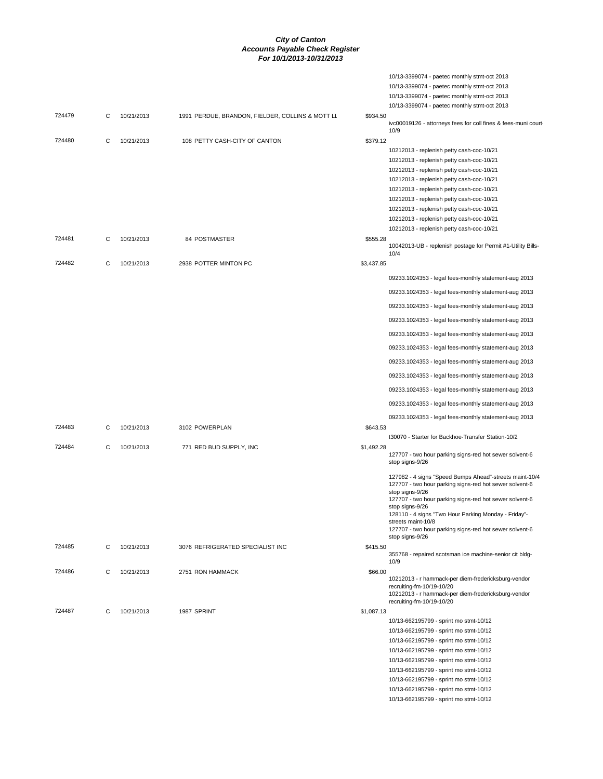|        |   |            |                                                  |            | 10/13-3399074 - paetec monthly stmt-oct 2013                                                                                          |
|--------|---|------------|--------------------------------------------------|------------|---------------------------------------------------------------------------------------------------------------------------------------|
|        |   |            |                                                  |            | 10/13-3399074 - paetec monthly stmt-oct 2013                                                                                          |
|        |   |            |                                                  |            | 10/13-3399074 - paetec monthly stmt-oct 2013                                                                                          |
|        |   |            |                                                  |            | 10/13-3399074 - paetec monthly stmt-oct 2013                                                                                          |
| 724479 | C | 10/21/2013 | 1991 PERDUE, BRANDON, FIELDER, COLLINS & MOTT LL | \$934.50   | ivc00019126 - attorneys fees for coll fines & fees-muni court<br>10/9                                                                 |
| 724480 | С | 10/21/2013 | 108 PETTY CASH-CITY OF CANTON                    | \$379.12   |                                                                                                                                       |
|        |   |            |                                                  |            | 10212013 - replenish petty cash-coc-10/21                                                                                             |
|        |   |            |                                                  |            | 10212013 - replenish petty cash-coc-10/21                                                                                             |
|        |   |            |                                                  |            | 10212013 - replenish petty cash-coc-10/21                                                                                             |
|        |   |            |                                                  |            | 10212013 - replenish petty cash-coc-10/21                                                                                             |
|        |   |            |                                                  |            | 10212013 - replenish petty cash-coc-10/21                                                                                             |
|        |   |            |                                                  |            | 10212013 - replenish petty cash-coc-10/21                                                                                             |
|        |   |            |                                                  |            | 10212013 - replenish petty cash-coc-10/21                                                                                             |
|        |   |            |                                                  |            | 10212013 - replenish petty cash-coc-10/21                                                                                             |
|        |   |            |                                                  |            | 10212013 - replenish petty cash-coc-10/21                                                                                             |
| 724481 | C | 10/21/2013 | 84 POSTMASTER                                    | \$555.28   | 10042013-UB - replenish postage for Permit #1-Utility Bills-<br>10/4                                                                  |
| 724482 | С | 10/21/2013 | 2938 POTTER MINTON PC                            | \$3,437.85 |                                                                                                                                       |
|        |   |            |                                                  |            | 09233.1024353 - legal fees-monthly statement-aug 2013                                                                                 |
|        |   |            |                                                  |            | 09233.1024353 - legal fees-monthly statement-aug 2013                                                                                 |
|        |   |            |                                                  |            | 09233.1024353 - legal fees-monthly statement-aug 2013                                                                                 |
|        |   |            |                                                  |            | 09233.1024353 - legal fees-monthly statement-aug 2013                                                                                 |
|        |   |            |                                                  |            | 09233.1024353 - legal fees-monthly statement-aug 2013                                                                                 |
|        |   |            |                                                  |            | 09233.1024353 - legal fees-monthly statement-aug 2013                                                                                 |
|        |   |            |                                                  |            | 09233.1024353 - legal fees-monthly statement-aug 2013                                                                                 |
|        |   |            |                                                  |            | 09233.1024353 - legal fees-monthly statement-aug 2013                                                                                 |
|        |   |            |                                                  |            | 09233.1024353 - legal fees-monthly statement-aug 2013                                                                                 |
|        |   |            |                                                  |            | 09233.1024353 - legal fees-monthly statement-aug 2013                                                                                 |
|        |   |            |                                                  |            | 09233.1024353 - legal fees-monthly statement-aug 2013                                                                                 |
| 724483 | C | 10/21/2013 | 3102 POWERPLAN                                   | \$643.53   | t30070 - Starter for Backhoe-Transfer Station-10/2                                                                                    |
| 724484 | С | 10/21/2013 | 771 RED BUD SUPPLY, INC                          | \$1,492.28 | 127707 - two hour parking signs-red hot sewer solvent-6<br>stop signs-9/26                                                            |
|        |   |            |                                                  |            | 127982 - 4 signs "Speed Bumps Ahead"-streets maint-10/4<br>127707 - two hour parking signs-red hot sewer solvent-6<br>stop signs-9/26 |
|        |   |            |                                                  |            | 127707 - two hour parking signs-red hot sewer solvent-6<br>stop signs-9/26                                                            |
|        |   |            |                                                  |            | 128110 - 4 signs "Two Hour Parking Monday - Friday"-<br>streets maint-10/8                                                            |
|        |   |            |                                                  |            | 127707 - two hour parking signs-red hot sewer solvent-6<br>stop signs-9/26                                                            |
| 724485 | C | 10/21/2013 | 3076 REFRIGERATED SPECIALIST INC                 | \$415.50   |                                                                                                                                       |
|        |   |            |                                                  |            | 355768 - repaired scotsman ice machine-senior cit bldg-<br>10/9                                                                       |
| 724486 | С | 10/21/2013 | 2751 RON HAMMACK                                 | \$66.00    | 10212013 - r hammack-per diem-fredericksburg-vendor                                                                                   |
|        |   |            |                                                  |            | recruiting-fm-10/19-10/20<br>10212013 - r hammack-per diem-fredericksburg-vendor                                                      |
|        |   |            |                                                  |            | recruiting-fm-10/19-10/20                                                                                                             |
| 724487 | C | 10/21/2013 | 1987 SPRINT                                      | \$1,087.13 |                                                                                                                                       |
|        |   |            |                                                  |            | 10/13-662195799 - sprint mo stmt-10/12<br>10/13-662195799 - sprint mo stmt-10/12                                                      |
|        |   |            |                                                  |            | 10/13-662195799 - sprint mo stmt-10/12                                                                                                |
|        |   |            |                                                  |            | 10/13-662195799 - sprint mo stmt-10/12                                                                                                |
|        |   |            |                                                  |            | 10/13-662195799 - sprint mo stmt-10/12                                                                                                |
|        |   |            |                                                  |            | 10/13-662195799 - sprint mo stmt-10/12                                                                                                |
|        |   |            |                                                  |            | 10/13-662195799 - sprint mo stmt-10/12                                                                                                |
|        |   |            |                                                  |            | 10/13-662195799 - sprint mo stmt-10/12                                                                                                |
|        |   |            |                                                  |            | 10/13-662195799 - sprint mo stmt-10/12                                                                                                |
|        |   |            |                                                  |            |                                                                                                                                       |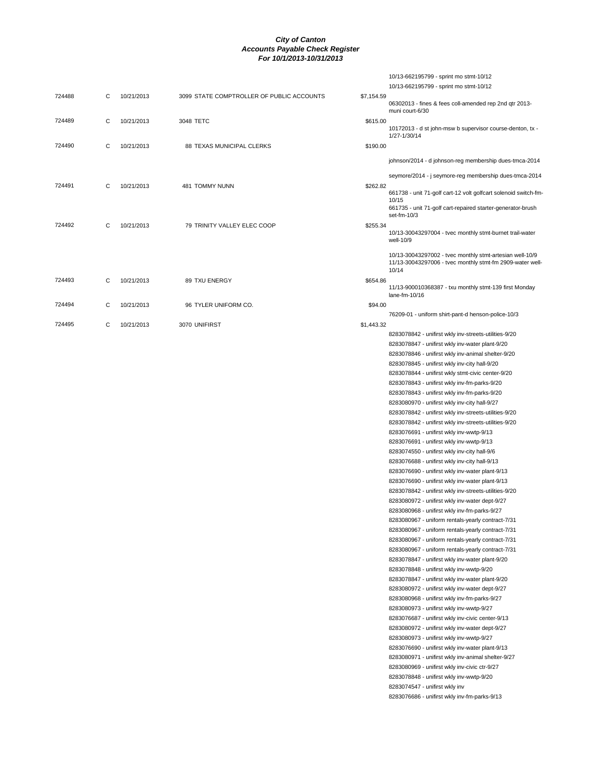|        |   |            |                                           |            | 10/13-662195799 - sprint mo stmt-10/12                                                                         |
|--------|---|------------|-------------------------------------------|------------|----------------------------------------------------------------------------------------------------------------|
|        |   |            |                                           |            | 10/13-662195799 - sprint mo stmt-10/12                                                                         |
| 724488 | С | 10/21/2013 | 3099 STATE COMPTROLLER OF PUBLIC ACCOUNTS | \$7,154.59 |                                                                                                                |
|        |   |            |                                           |            | 06302013 - fines & fees coll-amended rep 2nd qtr 2013-                                                         |
|        |   |            |                                           |            | muni court-6/30                                                                                                |
| 724489 | С | 10/21/2013 | 3048 TETC                                 | \$615.00   | 10172013 - d st john-msw b supervisor course-denton, tx -                                                      |
|        |   |            |                                           |            | 1/27-1/30/14                                                                                                   |
| 724490 | С | 10/21/2013 | 88 TEXAS MUNICIPAL CLERKS                 | \$190.00   |                                                                                                                |
|        |   |            |                                           |            | johnson/2014 - d johnson-reg membership dues-tmca-2014                                                         |
|        |   |            |                                           |            |                                                                                                                |
|        |   |            |                                           |            | seymore/2014 - j seymore-reg membership dues-tmca-2014                                                         |
| 724491 | С | 10/21/2013 | 481 TOMMY NUNN                            | \$262.82   |                                                                                                                |
|        |   |            |                                           |            | 661738 - unit 71-golf cart-12 volt golfcart solenoid switch-fm-<br>10/15                                       |
|        |   |            |                                           |            | 661735 - unit 71-golf cart-repaired starter-generator-brush                                                    |
|        |   |            |                                           |            | set-fm- $10/3$                                                                                                 |
| 724492 | С | 10/21/2013 | 79 TRINITY VALLEY ELEC COOP               | \$255.34   |                                                                                                                |
|        |   |            |                                           |            | 10/13-30043297004 - tvec monthly stmt-burnet trail-water<br>well-10/9                                          |
|        |   |            |                                           |            |                                                                                                                |
|        |   |            |                                           |            | 10/13-30043297002 - tvec monthly stmt-artesian well-10/9                                                       |
|        |   |            |                                           |            | 11/13-30043297006 - tvec monthly stmt-fm 2909-water well-<br>10/14                                             |
| 724493 | С | 10/21/2013 | 89 TXU ENERGY                             | \$654.86   |                                                                                                                |
|        |   |            |                                           |            | 11/13-900010368387 - txu monthly stmt-139 first Monday                                                         |
|        |   |            |                                           |            | lane-fm-10/16                                                                                                  |
| 724494 | С | 10/21/2013 | 96 TYLER UNIFORM CO.                      | \$94.00    |                                                                                                                |
|        |   |            |                                           |            | 76209-01 - uniform shirt-pant-d henson-police-10/3                                                             |
| 724495 | С | 10/21/2013 | 3070 UNIFIRST                             | \$1,443.32 |                                                                                                                |
|        |   |            |                                           |            | 8283078842 - unifirst wkly inv-streets-utilities-9/20                                                          |
|        |   |            |                                           |            | 8283078847 - unifirst wkly inv-water plant-9/20                                                                |
|        |   |            |                                           |            | 8283078846 - unifirst wkly inv-animal shelter-9/20                                                             |
|        |   |            |                                           |            | 8283078845 - unifirst wkly inv-city hall-9/20                                                                  |
|        |   |            |                                           |            | 8283078844 - unifirst wkly stmt-civic center-9/20                                                              |
|        |   |            |                                           |            | 8283078843 - unifirst wkly inv-fm-parks-9/20                                                                   |
|        |   |            |                                           |            | 8283078843 - unifirst wkly inv-fm-parks-9/20                                                                   |
|        |   |            |                                           |            | 8283080970 - unifirst wkly inv-city hall-9/27                                                                  |
|        |   |            |                                           |            | 8283078842 - unifirst wkly inv-streets-utilities-9/20<br>8283078842 - unifirst wkly inv-streets-utilities-9/20 |
|        |   |            |                                           |            | 8283076691 - unifirst wkly inv-wwtp-9/13                                                                       |
|        |   |            |                                           |            | 8283076691 - unifirst wkly inv-wwtp-9/13                                                                       |
|        |   |            |                                           |            | 8283074550 - unifirst wkly inv-city hall-9/6                                                                   |
|        |   |            |                                           |            | 8283076688 - unifirst wkly inv-city hall-9/13                                                                  |
|        |   |            |                                           |            | 8283076690 - unifirst wkly inv-water plant-9/13                                                                |
|        |   |            |                                           |            | 8283076690 - unifirst wkly inv-water plant-9/13                                                                |
|        |   |            |                                           |            | 8283078842 - unifirst wkly inv-streets-utilities-9/20                                                          |
|        |   |            |                                           |            | 8283080972 - unifirst wkly inv-water dept-9/27                                                                 |
|        |   |            |                                           |            | 8283080968 - unifirst wkly inv-fm-parks-9/27                                                                   |
|        |   |            |                                           |            | 8283080967 - uniform rentals-yearly contract-7/31                                                              |
|        |   |            |                                           |            | 8283080967 - uniform rentals-yearly contract-7/31                                                              |
|        |   |            |                                           |            | 8283080967 - uniform rentals-yearly contract-7/31                                                              |
|        |   |            |                                           |            | 8283080967 - uniform rentals-yearly contract-7/31                                                              |
|        |   |            |                                           |            | 8283078847 - unifirst wkly inv-water plant-9/20                                                                |
|        |   |            |                                           |            | 8283078848 - unifirst wkly inv-wwtp-9/20                                                                       |
|        |   |            |                                           |            | 8283078847 - unifirst wkly inv-water plant-9/20                                                                |
|        |   |            |                                           |            | 8283080972 - unifirst wkly inv-water dept-9/27                                                                 |
|        |   |            |                                           |            | 8283080968 - unifirst wkly inv-fm-parks-9/27                                                                   |
|        |   |            |                                           |            | 8283080973 - unifirst wkly inv-wwtp-9/27                                                                       |
|        |   |            |                                           |            | 8283076687 - unifirst wkly inv-civic center-9/13                                                               |
|        |   |            |                                           |            | 8283080972 - unifirst wkly inv-water dept-9/27                                                                 |
|        |   |            |                                           |            | 8283080973 - unifirst wkly inv-wwtp-9/27                                                                       |
|        |   |            |                                           |            | 8283076690 - unifirst wkly inv-water plant-9/13                                                                |
|        |   |            |                                           |            | 8283080971 - unifirst wkly inv-animal shelter-9/27                                                             |
|        |   |            |                                           |            | 8283080969 - unifirst wkly inv-civic ctr-9/27                                                                  |
|        |   |            |                                           |            | 8283078848 - unifirst wkly inv-wwtp-9/20                                                                       |
|        |   |            |                                           |            | 8283074547 - unifirst wkly inv                                                                                 |
|        |   |            |                                           |            | 8283076686 - unifirst wkly inv-fm-parks-9/13                                                                   |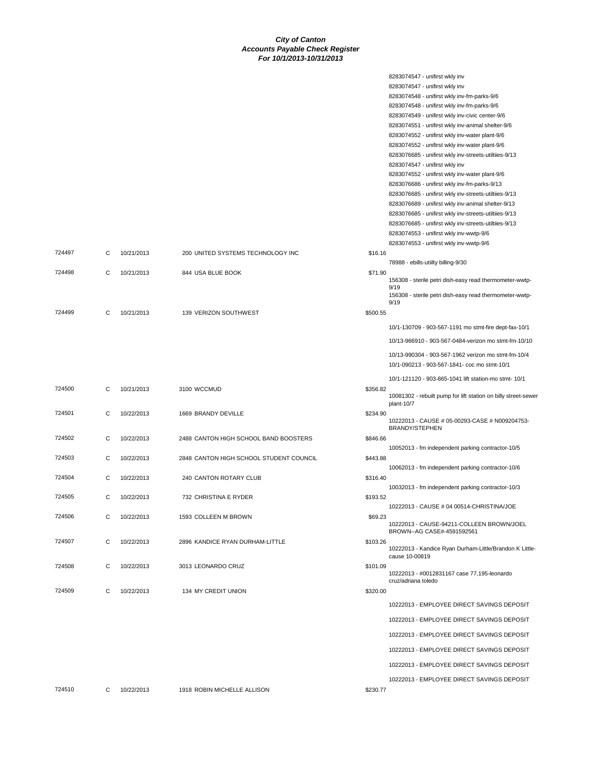|        |   |            |                                         |          | 8283074547 - unifirst wkly inv<br>8283074547 - unifirst wkly inv<br>8283074548 - unifirst wkly inv-fm-parks-9/6<br>8283074548 - unifirst wkly inv-fm-parks-9/6<br>8283074549 - unifirst wkly inv-civic center-9/6<br>8283074551 - unifirst wkly inv-animal shelter-9/6<br>8283074552 - unifirst wkly inv-water plant-9/6 |
|--------|---|------------|-----------------------------------------|----------|--------------------------------------------------------------------------------------------------------------------------------------------------------------------------------------------------------------------------------------------------------------------------------------------------------------------------|
|        |   |            |                                         |          | 8283074552 - unifirst wkly inv-water plant-9/6<br>8283076685 - unifirst wkly inv-streets-utiltiies-9/13<br>8283074547 - unifirst wkly inv<br>8283074552 - unifirst wkly inv-water plant-9/6                                                                                                                              |
|        |   |            |                                         |          | 8283076686 - unifirst wkly inv-fm-parks-9/13<br>8283076685 - unifirst wkly inv-streets-utiltiies-9/13                                                                                                                                                                                                                    |
|        |   |            |                                         |          | 8283076689 - unifirst wkly inv-animal shelter-9/13<br>8283076685 - unifirst wkly inv-streets-utiltiies-9/13                                                                                                                                                                                                              |
|        |   |            |                                         |          | 8283076685 - unifirst wkly inv-streets-utiltiies-9/13<br>8283074553 - unifirst wkly inv-wwtp-9/6                                                                                                                                                                                                                         |
| 724497 | С | 10/21/2013 | 200 UNITED SYSTEMS TECHNOLOGY INC       | \$16.16  | 8283074553 - unifirst wkly inv-wwtp-9/6                                                                                                                                                                                                                                                                                  |
| 724498 | C | 10/21/2013 | 844 USA BLUE BOOK                       | \$71.90  | 78988 - ebills-utiilty billing-9/30<br>156308 - sterile petri dish-easy read thermometer-wwtp-                                                                                                                                                                                                                           |
|        |   |            |                                         |          | 9/19<br>156308 - sterile petri dish-easy read thermometer-wwtp-                                                                                                                                                                                                                                                          |
| 724499 | C | 10/21/2013 | 139 VERIZON SOUTHWEST                   | \$500.55 | 9/19                                                                                                                                                                                                                                                                                                                     |
|        |   |            |                                         |          | 10/1-130709 - 903-567-1191 mo stmt-fire dept-fax-10/1                                                                                                                                                                                                                                                                    |
|        |   |            |                                         |          | 10/13-966910 - 903-567-0484-verizon mo stmt-fm-10/10                                                                                                                                                                                                                                                                     |
|        |   |            |                                         |          | 10/13-990304 - 903-567-1962 verizon mo stmt-fm-10/4<br>10/1-090213 - 903-567-1841- coc mo stmt-10/1                                                                                                                                                                                                                      |
|        |   |            |                                         |          | 10/1-121120 - 903-865-1041 lift station-mo stmt- 10/1                                                                                                                                                                                                                                                                    |
| 724500 | C | 10/21/2013 | 3100 WCCMUD                             | \$356.82 | 10081302 - rebuilt pump for lift station on billy street-sewer<br>plant-10/7                                                                                                                                                                                                                                             |
| 724501 | C | 10/22/2013 | 1669 BRANDY DEVILLE                     | \$234.90 | 10222013 - CAUSE # 05-00293-CASE # N009204753-<br>BRANDY/STEPHEN                                                                                                                                                                                                                                                         |
| 724502 | С | 10/22/2013 | 2488 CANTON HIGH SCHOOL BAND BOOSTERS   | \$846.66 | 10052013 - fm independent parking contractor-10/5                                                                                                                                                                                                                                                                        |
| 724503 | С | 10/22/2013 | 2848 CANTON HIGH SCHOOL STUDENT COUNCIL | \$443.88 | 10062013 - fm independent parking contractor-10/6                                                                                                                                                                                                                                                                        |
| 724504 | C | 10/22/2013 | 240 CANTON ROTARY CLUB                  | \$316.40 | 10032013 - fm independent parking contractor-10/3                                                                                                                                                                                                                                                                        |
| 724505 | С | 10/22/2013 | 732 CHRISTINA E RYDER                   | \$193.52 |                                                                                                                                                                                                                                                                                                                          |
| 724506 | С | 10/22/2013 | 1593 COLLEEN M BROWN                    | \$69.23  | 10222013 - CAUSE # 04 00514-CHRISTINA/JOE                                                                                                                                                                                                                                                                                |
|        |   |            |                                         |          | 10222013 - CAUSE-94211-COLLEEN BROWN/JOEL<br>BROWN--AG CASE#-4591592561                                                                                                                                                                                                                                                  |
| 724507 | С | 10/22/2013 | 2896 KANDICE RYAN DURHAM-LITTLE         | \$103.26 | 10222013 - Kandice Ryan Durham-Little/Brandon K Little-<br>cause 10-00819                                                                                                                                                                                                                                                |
| 724508 | C | 10/22/2013 | 3013 LEONARDO CRUZ                      | \$101.09 | 10222013 - #0012831167 case 77,195-leonardo<br>cruz/adriana toledo                                                                                                                                                                                                                                                       |
| 724509 | C | 10/22/2013 | 134 MY CREDIT UNION                     | \$320.00 |                                                                                                                                                                                                                                                                                                                          |
|        |   |            |                                         |          | 10222013 - EMPLOYEE DIRECT SAVINGS DEPOSIT                                                                                                                                                                                                                                                                               |
|        |   |            |                                         |          | 10222013 - EMPLOYEE DIRECT SAVINGS DEPOSIT                                                                                                                                                                                                                                                                               |
|        |   |            |                                         |          | 10222013 - EMPLOYEE DIRECT SAVINGS DEPOSIT                                                                                                                                                                                                                                                                               |
|        |   |            |                                         |          | 10222013 - EMPLOYEE DIRECT SAVINGS DEPOSIT                                                                                                                                                                                                                                                                               |
|        |   |            |                                         |          | 10222013 - EMPLOYEE DIRECT SAVINGS DEPOSIT                                                                                                                                                                                                                                                                               |
|        |   |            |                                         |          | 10222013 - EMPLOYEE DIRECT SAVINGS DEPOSIT                                                                                                                                                                                                                                                                               |
| 724510 | C | 10/22/2013 | 1918 ROBIN MICHELLE ALLISON             | \$230.77 |                                                                                                                                                                                                                                                                                                                          |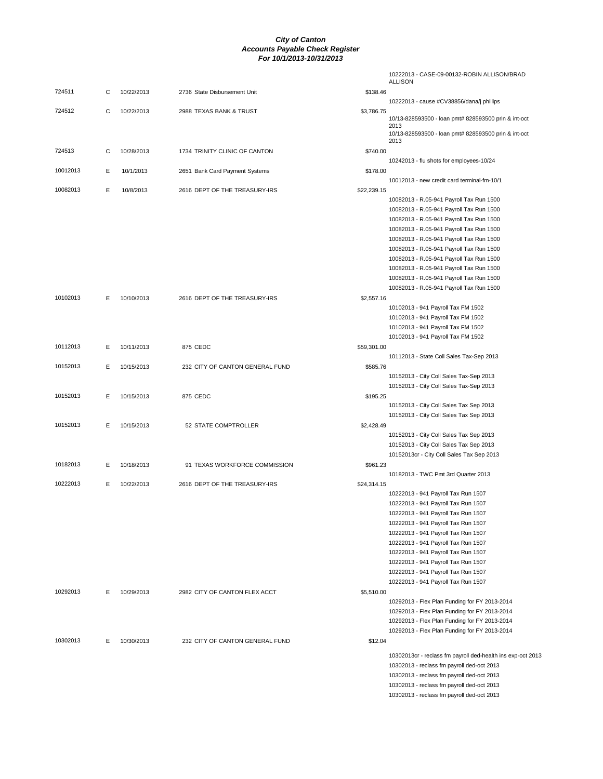|          |   |            |                                 |             | 10222013 - CASE-09-00132-ROBIN ALLISON/BRAD<br><b>ALLISON</b>                                  |
|----------|---|------------|---------------------------------|-------------|------------------------------------------------------------------------------------------------|
| 724511   | С | 10/22/2013 | 2736 State Disbursement Unit    | \$138.46    |                                                                                                |
|          |   |            |                                 |             | 10222013 - cause #CV38856/dana/j phillips                                                      |
| 724512   | C | 10/22/2013 | 2988 TEXAS BANK & TRUST         | \$3,786.75  | 10/13-828593500 - loan pmt# 828593500 prin & int-oct<br>2013                                   |
|          |   |            |                                 |             | 10/13-828593500 - loan pmt# 828593500 prin & int-oct<br>2013                                   |
| 724513   | C | 10/28/2013 | 1734 TRINITY CLINIC OF CANTON   | \$740.00    |                                                                                                |
|          |   |            |                                 |             | 10242013 - flu shots for employees-10/24                                                       |
| 10012013 | Е | 10/1/2013  | 2651 Bank Card Payment Systems  | \$178.00    | 10012013 - new credit card terminal-fm-10/1                                                    |
| 10082013 | Е | 10/8/2013  | 2616 DEPT OF THE TREASURY-IRS   | \$22,239.15 |                                                                                                |
|          |   |            |                                 |             | 10082013 - R.05-941 Payroll Tax Run 1500                                                       |
|          |   |            |                                 |             | 10082013 - R.05-941 Payroll Tax Run 1500                                                       |
|          |   |            |                                 |             | 10082013 - R.05-941 Payroll Tax Run 1500                                                       |
|          |   |            |                                 |             | 10082013 - R.05-941 Payroll Tax Run 1500                                                       |
|          |   |            |                                 |             | 10082013 - R.05-941 Payroll Tax Run 1500                                                       |
|          |   |            |                                 |             | 10082013 - R.05-941 Payroll Tax Run 1500                                                       |
|          |   |            |                                 |             | 10082013 - R.05-941 Payroll Tax Run 1500                                                       |
|          |   |            |                                 |             | 10082013 - R.05-941 Payroll Tax Run 1500                                                       |
|          |   |            |                                 |             | 10082013 - R.05-941 Payroll Tax Run 1500                                                       |
| 10102013 |   |            |                                 |             | 10082013 - R.05-941 Payroll Tax Run 1500                                                       |
|          | Е | 10/10/2013 | 2616 DEPT OF THE TREASURY-IRS   | \$2,557.16  | 10102013 - 941 Payroll Tax FM 1502                                                             |
|          |   |            |                                 |             | 10102013 - 941 Payroll Tax FM 1502                                                             |
|          |   |            |                                 |             | 10102013 - 941 Payroll Tax FM 1502                                                             |
|          |   |            |                                 |             | 10102013 - 941 Payroll Tax FM 1502                                                             |
| 10112013 | E | 10/11/2013 | 875 CEDC                        | \$59,301.00 |                                                                                                |
|          |   |            |                                 |             | 10112013 - State Coll Sales Tax-Sep 2013                                                       |
| 10152013 | Е | 10/15/2013 | 232 CITY OF CANTON GENERAL FUND | \$585.76    |                                                                                                |
|          |   |            |                                 |             | 10152013 - City Coll Sales Tax-Sep 2013                                                        |
|          |   |            |                                 |             | 10152013 - City Coll Sales Tax-Sep 2013                                                        |
| 10152013 | E | 10/15/2013 | 875 CEDC                        | \$195.25    |                                                                                                |
|          |   |            |                                 |             | 10152013 - City Coll Sales Tax Sep 2013                                                        |
|          |   |            |                                 |             | 10152013 - City Coll Sales Tax Sep 2013                                                        |
| 10152013 | Е | 10/15/2013 | 52 STATE COMPTROLLER            | \$2,428.49  |                                                                                                |
|          |   |            |                                 |             | 10152013 - City Coll Sales Tax Sep 2013                                                        |
|          |   |            |                                 |             | 10152013 - City Coll Sales Tax Sep 2013                                                        |
| 10182013 | Е | 10/18/2013 | 91 TEXAS WORKFORCE COMMISSION   | \$961.23    | 10152013cr - City Coll Sales Tax Sep 2013                                                      |
|          |   |            |                                 |             | 10182013 - TWC Pmt 3rd Quarter 2013                                                            |
| 10222013 | Е | 10/22/2013 | 2616 DEPT OF THE TREASURY-IRS   | \$24,314.15 |                                                                                                |
|          |   |            |                                 |             | 10222013 - 941 Payroll Tax Run 1507                                                            |
|          |   |            |                                 |             | 10222013 - 941 Payroll Tax Run 1507                                                            |
|          |   |            |                                 |             | 10222013 - 941 Payroll Tax Run 1507                                                            |
|          |   |            |                                 |             | 10222013 - 941 Payroll Tax Run 1507                                                            |
|          |   |            |                                 |             | 10222013 - 941 Payroll Tax Run 1507                                                            |
|          |   |            |                                 |             | 10222013 - 941 Payroll Tax Run 1507                                                            |
|          |   |            |                                 |             | 10222013 - 941 Payroll Tax Run 1507                                                            |
|          |   |            |                                 |             | 10222013 - 941 Payroll Tax Run 1507                                                            |
|          |   |            |                                 |             | 10222013 - 941 Payroll Tax Run 1507                                                            |
|          |   |            |                                 |             | 10222013 - 941 Payroll Tax Run 1507                                                            |
| 10292013 | Е | 10/29/2013 | 2982 CITY OF CANTON FLEX ACCT   | \$5,510.00  |                                                                                                |
|          |   |            |                                 |             | 10292013 - Flex Plan Funding for FY 2013-2014                                                  |
|          |   |            |                                 |             | 10292013 - Flex Plan Funding for FY 2013-2014                                                  |
|          |   |            |                                 |             | 10292013 - Flex Plan Funding for FY 2013-2014<br>10292013 - Flex Plan Funding for FY 2013-2014 |
| 10302013 | Е | 10/30/2013 | 232 CITY OF CANTON GENERAL FUND | \$12.04     |                                                                                                |
|          |   |            |                                 |             |                                                                                                |
|          |   |            |                                 |             | 10302013cr - reclass fm payroll ded-health ins exp-oct 2013                                    |
|          |   |            |                                 |             | 10302013 - reclass fm payroll ded-oct 2013                                                     |
|          |   |            |                                 |             | 10302013 - reclass fm payroll ded-oct 2013                                                     |
|          |   |            |                                 |             | 10302013 - reclass fm payroll ded-oct 2013                                                     |
|          |   |            |                                 |             | 10302013 - reclass fm payroll ded-oct 2013                                                     |